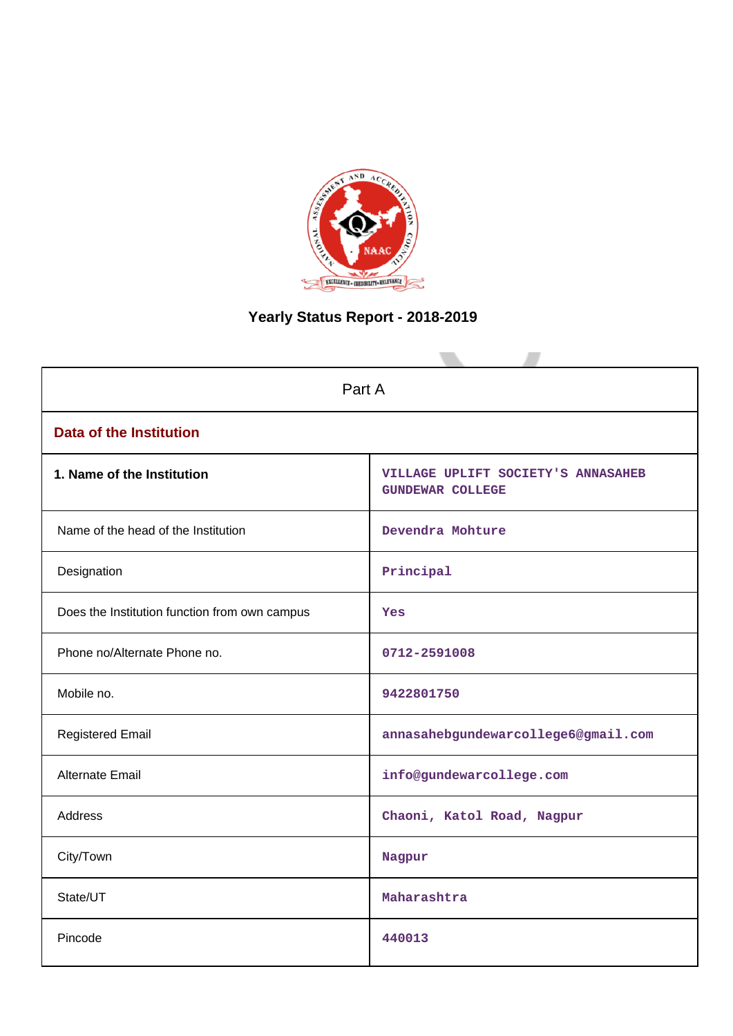

# **Yearly Status Report - 2018-2019**

| Part A                                        |                                                               |  |  |  |  |  |  |  |
|-----------------------------------------------|---------------------------------------------------------------|--|--|--|--|--|--|--|
| <b>Data of the Institution</b>                |                                                               |  |  |  |  |  |  |  |
| 1. Name of the Institution                    | VILLAGE UPLIFT SOCIETY'S ANNASAHEB<br><b>GUNDEWAR COLLEGE</b> |  |  |  |  |  |  |  |
| Name of the head of the Institution           | Devendra Mohture                                              |  |  |  |  |  |  |  |
| Designation                                   | Principal                                                     |  |  |  |  |  |  |  |
| Does the Institution function from own campus | Yes                                                           |  |  |  |  |  |  |  |
| Phone no/Alternate Phone no.                  | 0712-2591008                                                  |  |  |  |  |  |  |  |
| Mobile no.                                    | 9422801750                                                    |  |  |  |  |  |  |  |
| <b>Registered Email</b>                       | annasahebgundewarcollege6@gmail.com                           |  |  |  |  |  |  |  |
| <b>Alternate Email</b>                        | info@gundewarcollege.com                                      |  |  |  |  |  |  |  |
| <b>Address</b>                                | Chaoni, Katol Road, Nagpur                                    |  |  |  |  |  |  |  |
| City/Town                                     | Nagpur                                                        |  |  |  |  |  |  |  |
| State/UT                                      | Maharashtra                                                   |  |  |  |  |  |  |  |
| Pincode                                       | 440013                                                        |  |  |  |  |  |  |  |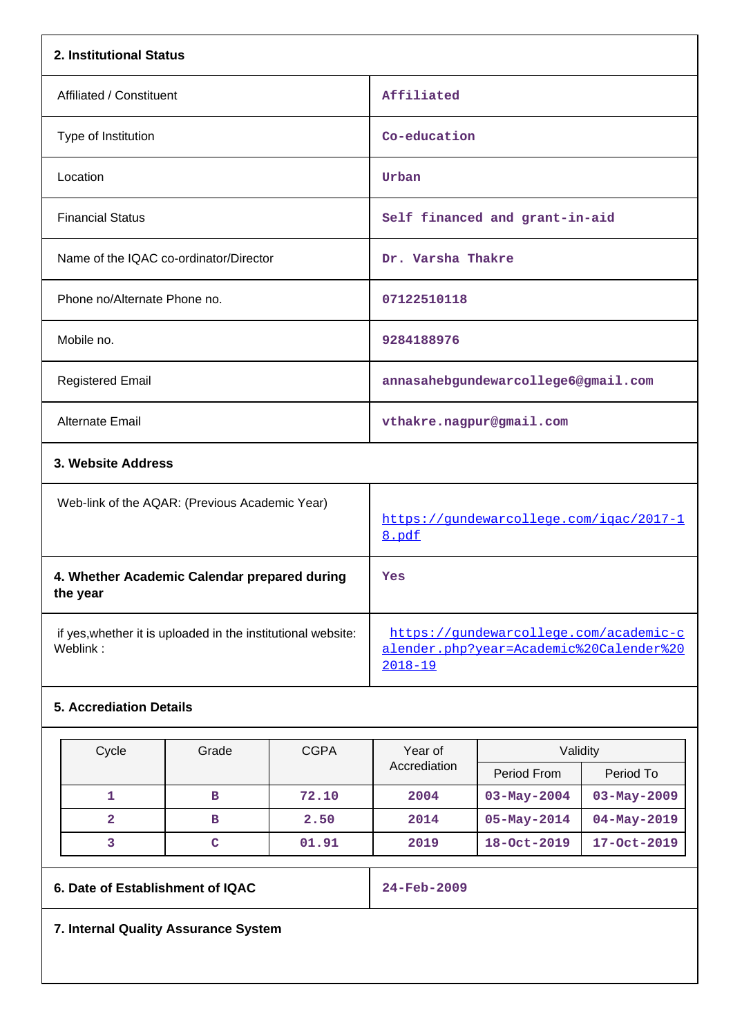| 2. Institutional Status                                                  |                                                                                                  |
|--------------------------------------------------------------------------|--------------------------------------------------------------------------------------------------|
| Affiliated / Constituent                                                 | Affiliated                                                                                       |
| Type of Institution                                                      | Co-education                                                                                     |
| Location                                                                 | Urban                                                                                            |
| <b>Financial Status</b>                                                  | Self financed and grant-in-aid                                                                   |
| Name of the IQAC co-ordinator/Director                                   | Dr. Varsha Thakre                                                                                |
| Phone no/Alternate Phone no.                                             | 07122510118                                                                                      |
| Mobile no.                                                               | 9284188976                                                                                       |
| <b>Registered Email</b>                                                  | annasahebgundewarcollege6@gmail.com                                                              |
| <b>Alternate Email</b>                                                   | vthakre.nagpur@gmail.com                                                                         |
| 3. Website Address                                                       |                                                                                                  |
| Web-link of the AQAR: (Previous Academic Year)                           | https://qundewarcollege.com/igac/2017-1<br>8.pdf                                                 |
| 4. Whether Academic Calendar prepared during<br>the year                 | Yes                                                                                              |
| if yes, whether it is uploaded in the institutional website:<br>Weblink: | https://gundewarcollege.com/academic-c<br>alender.php?year=Academic%20Calender%20<br>$2018 - 19$ |
| <b>5. Accrediation Details</b>                                           |                                                                                                  |

| Cycle | Grade | <b>CGPA</b> | Year of      | Validity          |                   |  |  |
|-------|-------|-------------|--------------|-------------------|-------------------|--|--|
|       |       |             | Accrediation | Period From       | Period To         |  |  |
|       | в     | 72.10       | 2004         | $03 - May - 2004$ | $03 - May - 2009$ |  |  |
| 2     | в     | 2.50        | 2014         | $05 - May - 2014$ | $04 - May - 2019$ |  |  |
|       | c     | 01.91       | 2019         | 18-Oct-2019       | 17-Oct-2019       |  |  |

**6. Date of Establishment of IQAC 24-Feb-2009**

**7. Internal Quality Assurance System**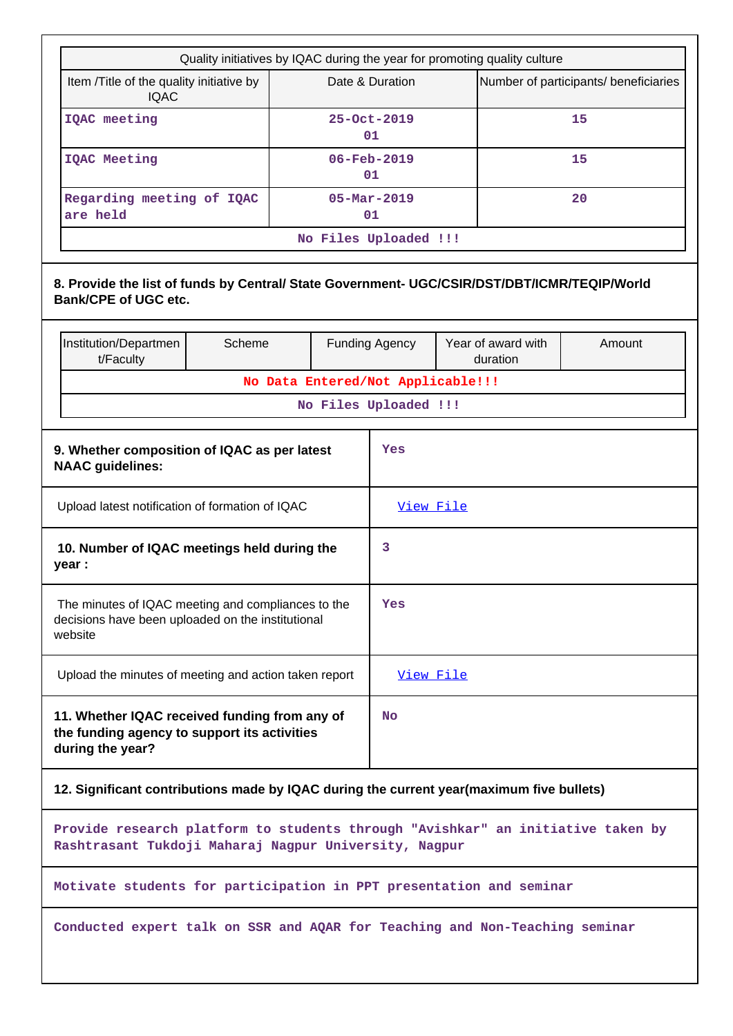| Quality initiatives by IQAC during the year for promoting quality culture<br>Item /Title of the quality initiative by<br><b>IQAC</b>     |                                                 |  | Date & Duration                   |  | Number of participants/ beneficiaries |           |  |  |  |  |
|------------------------------------------------------------------------------------------------------------------------------------------|-------------------------------------------------|--|-----------------------------------|--|---------------------------------------|-----------|--|--|--|--|
| IQAC meeting                                                                                                                             |                                                 |  | 25-Oct-2019<br>01                 |  |                                       | 15        |  |  |  |  |
| <b>IQAC Meeting</b>                                                                                                                      |                                                 |  | $06 - \text{Feb} - 2019$<br>01    |  |                                       | 15        |  |  |  |  |
| Regarding meeting of IQAC<br>are held                                                                                                    |                                                 |  | $05 - \text{Mar} - 2019$<br>01    |  |                                       | 20        |  |  |  |  |
|                                                                                                                                          |                                                 |  | No Files Uploaded !!!             |  |                                       |           |  |  |  |  |
| 8. Provide the list of funds by Central/ State Government- UGC/CSIR/DST/DBT/ICMR/TEQIP/World<br><b>Bank/CPE of UGC etc.</b>              |                                                 |  |                                   |  |                                       |           |  |  |  |  |
| Scheme<br>Institution/Departmen<br>t/Faculty                                                                                             |                                                 |  | <b>Funding Agency</b>             |  | Year of award with<br>duration        | Amount    |  |  |  |  |
|                                                                                                                                          |                                                 |  | No Data Entered/Not Applicable!!! |  |                                       |           |  |  |  |  |
|                                                                                                                                          |                                                 |  | No Files Uploaded !!!             |  |                                       |           |  |  |  |  |
| <b>NAAC</b> guidelines:                                                                                                                  | 9. Whether composition of IQAC as per latest    |  |                                   |  | Yes                                   |           |  |  |  |  |
|                                                                                                                                          | Upload latest notification of formation of IQAC |  |                                   |  |                                       | View File |  |  |  |  |
| 10. Number of IQAC meetings held during the<br>year :                                                                                    |                                                 |  | 3                                 |  |                                       |           |  |  |  |  |
| The minutes of IQAC meeting and compliances to the<br>decisions have been uploaded on the institutional<br>website                       |                                                 |  | Yes                               |  |                                       |           |  |  |  |  |
| Upload the minutes of meeting and action taken report                                                                                    |                                                 |  | View File                         |  |                                       |           |  |  |  |  |
| 11. Whether IQAC received funding from any of<br>the funding agency to support its activities<br>during the year?                        |                                                 |  | <b>No</b>                         |  |                                       |           |  |  |  |  |
| 12. Significant contributions made by IQAC during the current year(maximum five bullets)                                                 |                                                 |  |                                   |  |                                       |           |  |  |  |  |
| Provide research platform to students through "Avishkar" an initiative taken by<br>Rashtrasant Tukdoji Maharaj Nagpur University, Nagpur |                                                 |  |                                   |  |                                       |           |  |  |  |  |
| Motivate students for participation in PPT presentation and seminar                                                                      |                                                 |  |                                   |  |                                       |           |  |  |  |  |
| Conducted expert talk on SSR and AQAR for Teaching and Non-Teaching seminar                                                              |                                                 |  |                                   |  |                                       |           |  |  |  |  |
|                                                                                                                                          |                                                 |  |                                   |  |                                       |           |  |  |  |  |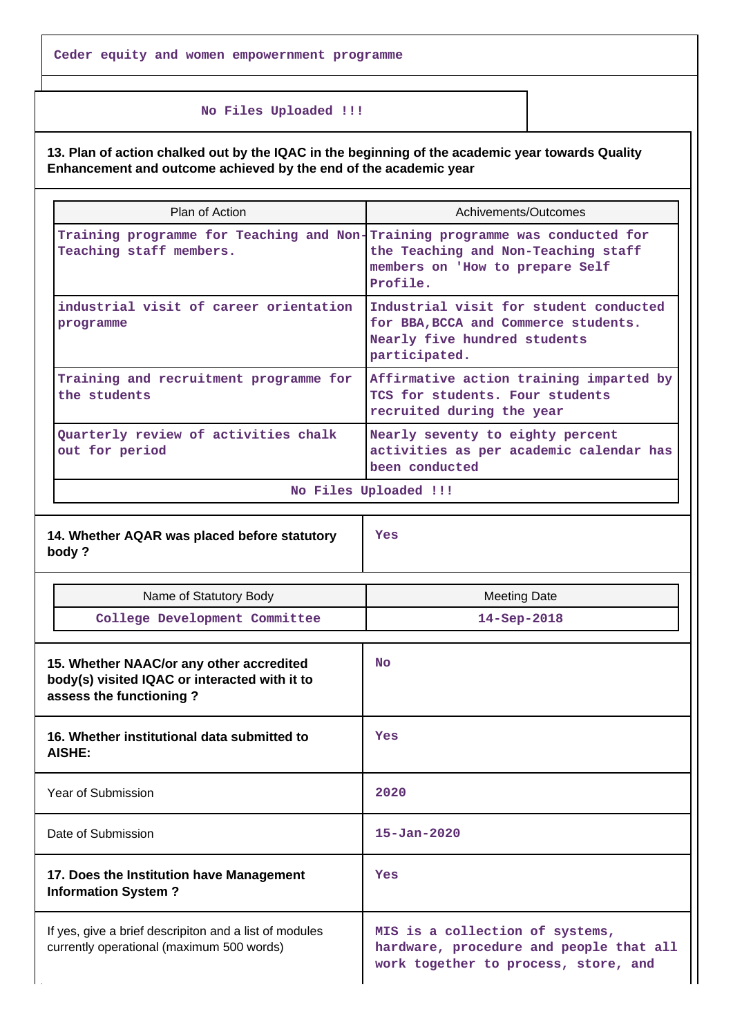#### **No Files Uploaded !!!**

**13. Plan of action chalked out by the IQAC in the beginning of the academic year towards Quality Enhancement and outcome achieved by the end of the academic year**

| Plan of Action                                                                                                       | Achivements/Outcomes                                                                                                                                               |
|----------------------------------------------------------------------------------------------------------------------|--------------------------------------------------------------------------------------------------------------------------------------------------------------------|
| Teaching staff members.                                                                                              | Training programme for Teaching and Non-Training programme was conducted for<br>the Teaching and Non-Teaching staff<br>members on 'How to prepare Self<br>Profile. |
| industrial visit of career orientation<br>programme                                                                  | Industrial visit for student conducted<br>for BBA, BCCA and Commerce students.<br>Nearly five hundred students<br>participated.                                    |
| Training and recruitment programme for<br>the students                                                               | Affirmative action training imparted by<br>TCS for students. Four students<br>recruited during the year                                                            |
| Quarterly review of activities chalk<br>out for period                                                               | Nearly seventy to eighty percent<br>activities as per academic calendar has<br>been conducted                                                                      |
|                                                                                                                      | No Files Uploaded !!!                                                                                                                                              |
| 14. Whether AQAR was placed before statutory<br>body?                                                                | Yes                                                                                                                                                                |
| Name of Statutory Body                                                                                               | <b>Meeting Date</b>                                                                                                                                                |
| College Development Committee                                                                                        | 14-Sep-2018                                                                                                                                                        |
| 15. Whether NAAC/or any other accredited<br>body(s) visited IQAC or interacted with it to<br>assess the functioning? | <b>No</b>                                                                                                                                                          |
| 16. Whether institutional data submitted to<br><b>AISHE:</b>                                                         | Yes                                                                                                                                                                |
| Year of Submission                                                                                                   | 2020                                                                                                                                                               |
| Date of Submission                                                                                                   | $15 - Jan - 2020$                                                                                                                                                  |

**Yes**

## **17. Does the Institution have Management Information System ?**

If yes, give a brief descripiton and a list of modules currently operational (maximum 500 words)

**MIS is a collection of systems, hardware, procedure and people that all work together to process, store, and**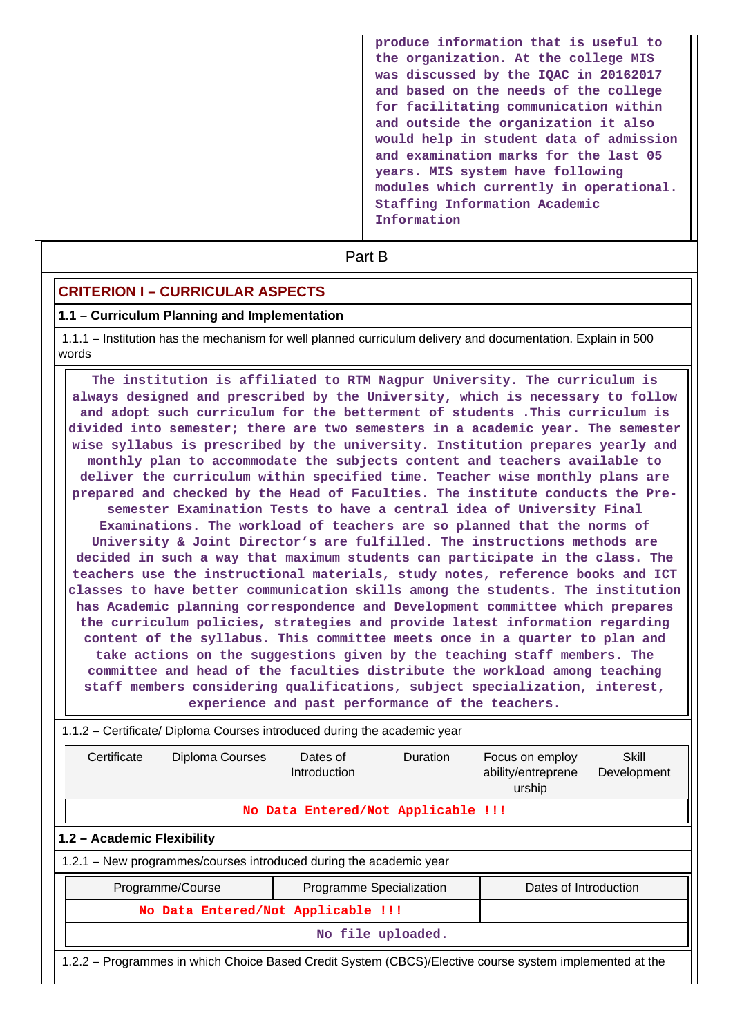**produce information that is useful to the organization. At the college MIS was discussed by the IQAC in 20162017 and based on the needs of the college for facilitating communication within and outside the organization it also would help in student data of admission and examination marks for the last 05 years. MIS system have following modules which currently in operational. Staffing Information Academic Information**

**Part B** 

## **CRITERION I – CURRICULAR ASPECTS**

#### **1.1 – Curriculum Planning and Implementation**

 1.1.1 – Institution has the mechanism for well planned curriculum delivery and documentation. Explain in 500 words

 **The institution is affiliated to RTM Nagpur University. The curriculum is always designed and prescribed by the University, which is necessary to follow and adopt such curriculum for the betterment of students .This curriculum is divided into semester; there are two semesters in a academic year. The semester wise syllabus is prescribed by the university. Institution prepares yearly and monthly plan to accommodate the subjects content and teachers available to deliver the curriculum within specified time. Teacher wise monthly plans are prepared and checked by the Head of Faculties. The institute conducts the Presemester Examination Tests to have a central idea of University Final Examinations. The workload of teachers are so planned that the norms of University & Joint Director's are fulfilled. The instructions methods are decided in such a way that maximum students can participate in the class. The teachers use the instructional materials, study notes, reference books and ICT classes to have better communication skills among the students. The institution has Academic planning correspondence and Development committee which prepares the curriculum policies, strategies and provide latest information regarding content of the syllabus. This committee meets once in a quarter to plan and take actions on the suggestions given by the teaching staff members. The committee and head of the faculties distribute the workload among teaching staff members considering qualifications, subject specialization, interest, experience and past performance of the teachers.**

|                                    |                                                                                                                                    | 1.1.2 - Certificate/ Diploma Courses introduced during the academic year                                |  |                       |  |  |  |  |  |
|------------------------------------|------------------------------------------------------------------------------------------------------------------------------------|---------------------------------------------------------------------------------------------------------|--|-----------------------|--|--|--|--|--|
| Certificate                        | Skill<br>Diploma Courses<br>Dates of<br>Duration<br>Focus on employ<br>ability/entreprene<br>Introduction<br>Development<br>urship |                                                                                                         |  |                       |  |  |  |  |  |
|                                    |                                                                                                                                    | No Data Entered/Not Applicable !!!                                                                      |  |                       |  |  |  |  |  |
| 1.2 - Academic Flexibility         |                                                                                                                                    |                                                                                                         |  |                       |  |  |  |  |  |
|                                    |                                                                                                                                    | 1.2.1 – New programmes/courses introduced during the academic year                                      |  |                       |  |  |  |  |  |
|                                    | Programme/Course                                                                                                                   | Programme Specialization                                                                                |  | Dates of Introduction |  |  |  |  |  |
| No Data Entered/Not Applicable !!! |                                                                                                                                    |                                                                                                         |  |                       |  |  |  |  |  |
|                                    |                                                                                                                                    | No file uploaded.                                                                                       |  |                       |  |  |  |  |  |
|                                    |                                                                                                                                    | 1.2.2 – Programmes in which Choice Based Credit System (CBCS)/Elective course system implemented at the |  |                       |  |  |  |  |  |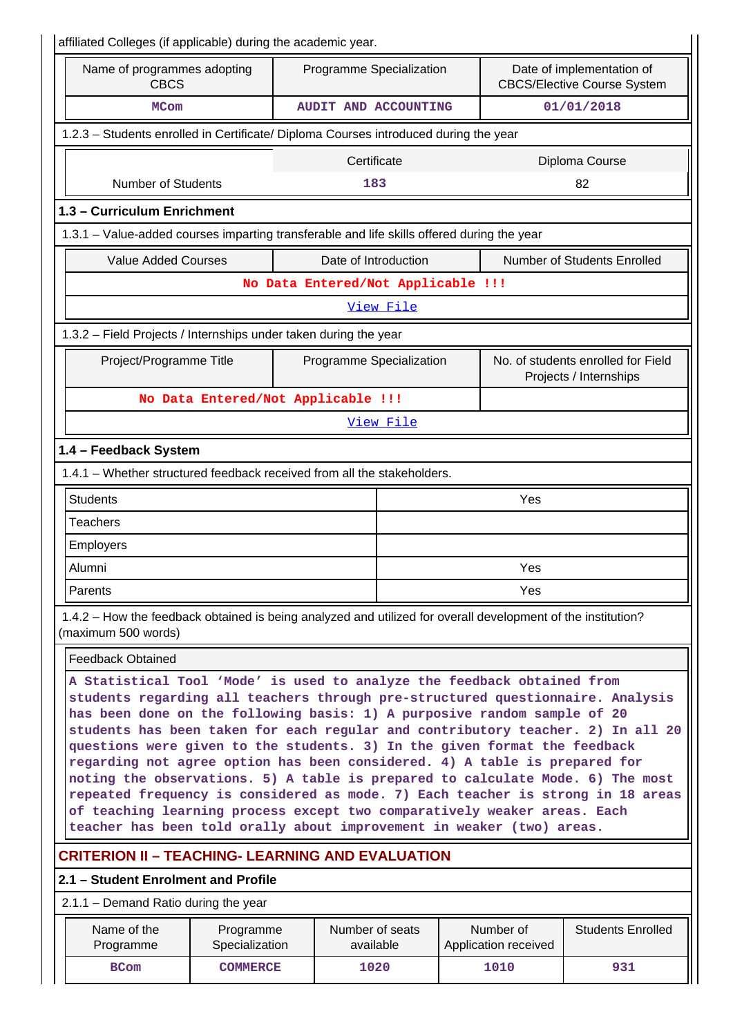| affiliated Colleges (if applicable) during the academic year.                                                                                                                                                                                                                                                                                                                                                                                                                                                                                                                                                                                                                                                                                                                                                 |                                                                                                                            |  |                                    |           |  |                                   |                                                              |  |  |  |
|---------------------------------------------------------------------------------------------------------------------------------------------------------------------------------------------------------------------------------------------------------------------------------------------------------------------------------------------------------------------------------------------------------------------------------------------------------------------------------------------------------------------------------------------------------------------------------------------------------------------------------------------------------------------------------------------------------------------------------------------------------------------------------------------------------------|----------------------------------------------------------------------------------------------------------------------------|--|------------------------------------|-----------|--|-----------------------------------|--------------------------------------------------------------|--|--|--|
| <b>CBCS</b>                                                                                                                                                                                                                                                                                                                                                                                                                                                                                                                                                                                                                                                                                                                                                                                                   | Name of programmes adopting<br>Programme Specialization<br>Date of implementation of<br><b>CBCS/Elective Course System</b> |  |                                    |           |  |                                   |                                                              |  |  |  |
| <b>MCom</b>                                                                                                                                                                                                                                                                                                                                                                                                                                                                                                                                                                                                                                                                                                                                                                                                   |                                                                                                                            |  | AUDIT AND ACCOUNTING               |           |  |                                   | 01/01/2018                                                   |  |  |  |
| 1.2.3 - Students enrolled in Certificate/ Diploma Courses introduced during the year                                                                                                                                                                                                                                                                                                                                                                                                                                                                                                                                                                                                                                                                                                                          |                                                                                                                            |  |                                    |           |  |                                   |                                                              |  |  |  |
|                                                                                                                                                                                                                                                                                                                                                                                                                                                                                                                                                                                                                                                                                                                                                                                                               |                                                                                                                            |  | Certificate                        |           |  |                                   | Diploma Course                                               |  |  |  |
| <b>Number of Students</b>                                                                                                                                                                                                                                                                                                                                                                                                                                                                                                                                                                                                                                                                                                                                                                                     |                                                                                                                            |  | 183                                |           |  |                                   | 82                                                           |  |  |  |
| 1.3 - Curriculum Enrichment                                                                                                                                                                                                                                                                                                                                                                                                                                                                                                                                                                                                                                                                                                                                                                                   |                                                                                                                            |  |                                    |           |  |                                   |                                                              |  |  |  |
| 1.3.1 – Value-added courses imparting transferable and life skills offered during the year                                                                                                                                                                                                                                                                                                                                                                                                                                                                                                                                                                                                                                                                                                                    |                                                                                                                            |  |                                    |           |  |                                   |                                                              |  |  |  |
| <b>Value Added Courses</b>                                                                                                                                                                                                                                                                                                                                                                                                                                                                                                                                                                                                                                                                                                                                                                                    |                                                                                                                            |  | Date of Introduction               |           |  |                                   | Number of Students Enrolled                                  |  |  |  |
|                                                                                                                                                                                                                                                                                                                                                                                                                                                                                                                                                                                                                                                                                                                                                                                                               |                                                                                                                            |  | No Data Entered/Not Applicable !!! |           |  |                                   |                                                              |  |  |  |
|                                                                                                                                                                                                                                                                                                                                                                                                                                                                                                                                                                                                                                                                                                                                                                                                               |                                                                                                                            |  |                                    | View File |  |                                   |                                                              |  |  |  |
| 1.3.2 - Field Projects / Internships under taken during the year                                                                                                                                                                                                                                                                                                                                                                                                                                                                                                                                                                                                                                                                                                                                              |                                                                                                                            |  |                                    |           |  |                                   |                                                              |  |  |  |
| Project/Programme Title                                                                                                                                                                                                                                                                                                                                                                                                                                                                                                                                                                                                                                                                                                                                                                                       |                                                                                                                            |  | Programme Specialization           |           |  |                                   | No. of students enrolled for Field<br>Projects / Internships |  |  |  |
|                                                                                                                                                                                                                                                                                                                                                                                                                                                                                                                                                                                                                                                                                                                                                                                                               | No Data Entered/Not Applicable !!!                                                                                         |  |                                    |           |  |                                   |                                                              |  |  |  |
| View File                                                                                                                                                                                                                                                                                                                                                                                                                                                                                                                                                                                                                                                                                                                                                                                                     |                                                                                                                            |  |                                    |           |  |                                   |                                                              |  |  |  |
| 1.4 - Feedback System                                                                                                                                                                                                                                                                                                                                                                                                                                                                                                                                                                                                                                                                                                                                                                                         |                                                                                                                            |  |                                    |           |  |                                   |                                                              |  |  |  |
| 1.4.1 - Whether structured feedback received from all the stakeholders.                                                                                                                                                                                                                                                                                                                                                                                                                                                                                                                                                                                                                                                                                                                                       |                                                                                                                            |  |                                    |           |  |                                   |                                                              |  |  |  |
| <b>Students</b>                                                                                                                                                                                                                                                                                                                                                                                                                                                                                                                                                                                                                                                                                                                                                                                               |                                                                                                                            |  |                                    |           |  | Yes                               |                                                              |  |  |  |
| <b>Teachers</b>                                                                                                                                                                                                                                                                                                                                                                                                                                                                                                                                                                                                                                                                                                                                                                                               |                                                                                                                            |  |                                    |           |  |                                   |                                                              |  |  |  |
| Employers                                                                                                                                                                                                                                                                                                                                                                                                                                                                                                                                                                                                                                                                                                                                                                                                     |                                                                                                                            |  |                                    |           |  |                                   |                                                              |  |  |  |
| Alumni                                                                                                                                                                                                                                                                                                                                                                                                                                                                                                                                                                                                                                                                                                                                                                                                        |                                                                                                                            |  |                                    |           |  | Yes                               |                                                              |  |  |  |
| Parents                                                                                                                                                                                                                                                                                                                                                                                                                                                                                                                                                                                                                                                                                                                                                                                                       |                                                                                                                            |  |                                    |           |  | Yes                               |                                                              |  |  |  |
| 1.4.2 – How the feedback obtained is being analyzed and utilized for overall development of the institution?<br>(maximum 500 words)                                                                                                                                                                                                                                                                                                                                                                                                                                                                                                                                                                                                                                                                           |                                                                                                                            |  |                                    |           |  |                                   |                                                              |  |  |  |
| <b>Feedback Obtained</b>                                                                                                                                                                                                                                                                                                                                                                                                                                                                                                                                                                                                                                                                                                                                                                                      |                                                                                                                            |  |                                    |           |  |                                   |                                                              |  |  |  |
| A Statistical Tool 'Mode' is used to analyze the feedback obtained from<br>students regarding all teachers through pre-structured questionnaire. Analysis<br>has been done on the following basis: 1) A purposive random sample of 20<br>students has been taken for each regular and contributory teacher. 2) In all 20<br>questions were given to the students. 3) In the given format the feedback<br>regarding not agree option has been considered. 4) A table is prepared for<br>noting the observations. 5) A table is prepared to calculate Mode. 6) The most<br>repeated frequency is considered as mode. 7) Each teacher is strong in 18 areas<br>of teaching learning process except two comparatively weaker areas. Each<br>teacher has been told orally about improvement in weaker (two) areas. |                                                                                                                            |  |                                    |           |  |                                   |                                                              |  |  |  |
| <b>CRITERION II - TEACHING- LEARNING AND EVALUATION</b>                                                                                                                                                                                                                                                                                                                                                                                                                                                                                                                                                                                                                                                                                                                                                       |                                                                                                                            |  |                                    |           |  |                                   |                                                              |  |  |  |
| 2.1 - Student Enrolment and Profile                                                                                                                                                                                                                                                                                                                                                                                                                                                                                                                                                                                                                                                                                                                                                                           |                                                                                                                            |  |                                    |           |  |                                   |                                                              |  |  |  |
| 2.1.1 - Demand Ratio during the year                                                                                                                                                                                                                                                                                                                                                                                                                                                                                                                                                                                                                                                                                                                                                                          |                                                                                                                            |  |                                    |           |  |                                   |                                                              |  |  |  |
| Name of the<br>Programme                                                                                                                                                                                                                                                                                                                                                                                                                                                                                                                                                                                                                                                                                                                                                                                      | Programme<br>Specialization                                                                                                |  | Number of seats<br>available       |           |  | Number of<br>Application received | <b>Students Enrolled</b>                                     |  |  |  |
| <b>BCom</b>                                                                                                                                                                                                                                                                                                                                                                                                                                                                                                                                                                                                                                                                                                                                                                                                   | <b>COMMERCE</b>                                                                                                            |  | 1020                               |           |  | 1010                              | 931                                                          |  |  |  |
|                                                                                                                                                                                                                                                                                                                                                                                                                                                                                                                                                                                                                                                                                                                                                                                                               |                                                                                                                            |  |                                    |           |  |                                   |                                                              |  |  |  |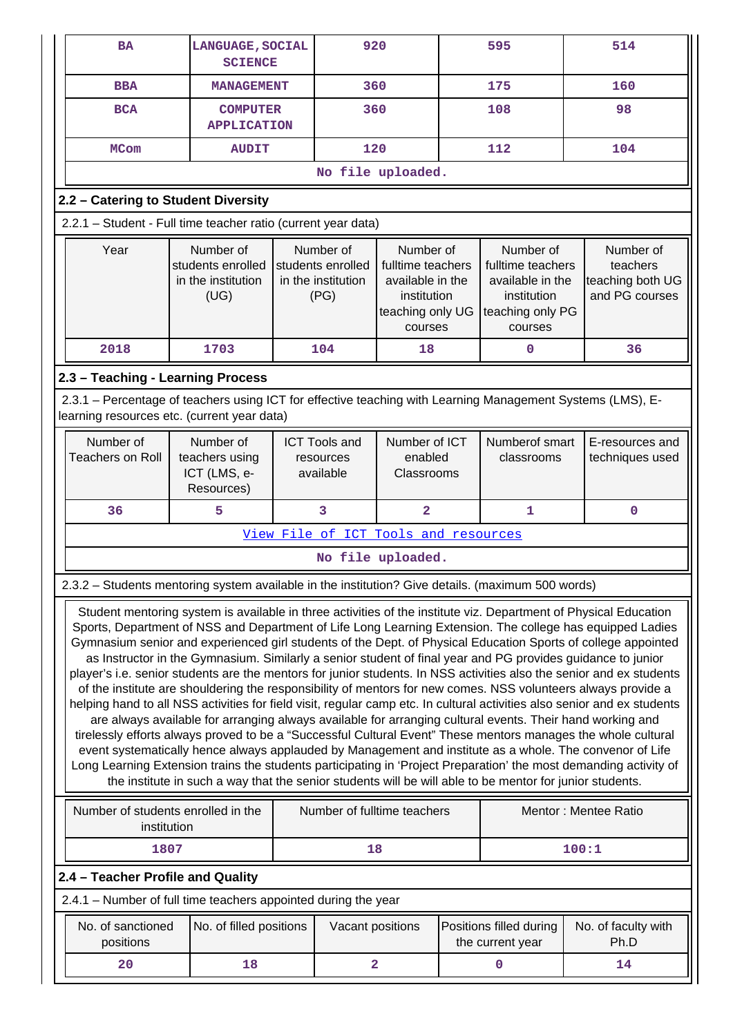| <b>BA</b>                                                                                                                                                 | LANGUAGE, SOCIAL<br><b>SCIENCE</b>                                                                                                                                                                                                                                                                                                                                                                                                                                                                                                                                                                                                                                                                                                                                                                                                                                                                                                                                                                                                                                                                                                                                                                                                                                                                                                                                                                            |  |                                                                                                                                                                  | 920                          |                                                                                                  | 595                                         |                                                             | 514                         |  |  |
|-----------------------------------------------------------------------------------------------------------------------------------------------------------|---------------------------------------------------------------------------------------------------------------------------------------------------------------------------------------------------------------------------------------------------------------------------------------------------------------------------------------------------------------------------------------------------------------------------------------------------------------------------------------------------------------------------------------------------------------------------------------------------------------------------------------------------------------------------------------------------------------------------------------------------------------------------------------------------------------------------------------------------------------------------------------------------------------------------------------------------------------------------------------------------------------------------------------------------------------------------------------------------------------------------------------------------------------------------------------------------------------------------------------------------------------------------------------------------------------------------------------------------------------------------------------------------------------|--|------------------------------------------------------------------------------------------------------------------------------------------------------------------|------------------------------|--------------------------------------------------------------------------------------------------|---------------------------------------------|-------------------------------------------------------------|-----------------------------|--|--|
| <b>BBA</b>                                                                                                                                                | <b>MANAGEMENT</b>                                                                                                                                                                                                                                                                                                                                                                                                                                                                                                                                                                                                                                                                                                                                                                                                                                                                                                                                                                                                                                                                                                                                                                                                                                                                                                                                                                                             |  | 360                                                                                                                                                              |                              |                                                                                                  | 175                                         |                                                             | 160                         |  |  |
| <b>BCA</b>                                                                                                                                                | <b>COMPUTER</b><br><b>APPLICATION</b>                                                                                                                                                                                                                                                                                                                                                                                                                                                                                                                                                                                                                                                                                                                                                                                                                                                                                                                                                                                                                                                                                                                                                                                                                                                                                                                                                                         |  | 360                                                                                                                                                              |                              |                                                                                                  | 108                                         |                                                             | 98                          |  |  |
| <b>MCom</b>                                                                                                                                               | <b>AUDIT</b>                                                                                                                                                                                                                                                                                                                                                                                                                                                                                                                                                                                                                                                                                                                                                                                                                                                                                                                                                                                                                                                                                                                                                                                                                                                                                                                                                                                                  |  |                                                                                                                                                                  | 120                          |                                                                                                  | 112                                         |                                                             | 104                         |  |  |
|                                                                                                                                                           |                                                                                                                                                                                                                                                                                                                                                                                                                                                                                                                                                                                                                                                                                                                                                                                                                                                                                                                                                                                                                                                                                                                                                                                                                                                                                                                                                                                                               |  | No file uploaded.                                                                                                                                                |                              |                                                                                                  |                                             |                                                             |                             |  |  |
| 2.2 - Catering to Student Diversity                                                                                                                       |                                                                                                                                                                                                                                                                                                                                                                                                                                                                                                                                                                                                                                                                                                                                                                                                                                                                                                                                                                                                                                                                                                                                                                                                                                                                                                                                                                                                               |  |                                                                                                                                                                  |                              |                                                                                                  |                                             |                                                             |                             |  |  |
| 2.2.1 - Student - Full time teacher ratio (current year data)                                                                                             |                                                                                                                                                                                                                                                                                                                                                                                                                                                                                                                                                                                                                                                                                                                                                                                                                                                                                                                                                                                                                                                                                                                                                                                                                                                                                                                                                                                                               |  |                                                                                                                                                                  |                              |                                                                                                  |                                             |                                                             |                             |  |  |
| Year<br>Number of<br>students enrolled<br>in the institution<br>(UG)                                                                                      |                                                                                                                                                                                                                                                                                                                                                                                                                                                                                                                                                                                                                                                                                                                                                                                                                                                                                                                                                                                                                                                                                                                                                                                                                                                                                                                                                                                                               |  | Number of<br>Number of<br>students enrolled<br>fulltime teachers<br>in the institution<br>available in the<br>(PG)<br>institution<br>teaching only UG<br>courses |                              | Number of<br>fulltime teachers<br>available in the<br>institution<br>teaching only PG<br>courses |                                             | Number of<br>teachers<br>teaching both UG<br>and PG courses |                             |  |  |
| 2018                                                                                                                                                      | 1703                                                                                                                                                                                                                                                                                                                                                                                                                                                                                                                                                                                                                                                                                                                                                                                                                                                                                                                                                                                                                                                                                                                                                                                                                                                                                                                                                                                                          |  | 104                                                                                                                                                              | 18                           |                                                                                                  | 0                                           |                                                             | 36                          |  |  |
| 2.3 - Teaching - Learning Process                                                                                                                         |                                                                                                                                                                                                                                                                                                                                                                                                                                                                                                                                                                                                                                                                                                                                                                                                                                                                                                                                                                                                                                                                                                                                                                                                                                                                                                                                                                                                               |  |                                                                                                                                                                  |                              |                                                                                                  |                                             |                                                             |                             |  |  |
| 2.3.1 - Percentage of teachers using ICT for effective teaching with Learning Management Systems (LMS), E-<br>learning resources etc. (current year data) |                                                                                                                                                                                                                                                                                                                                                                                                                                                                                                                                                                                                                                                                                                                                                                                                                                                                                                                                                                                                                                                                                                                                                                                                                                                                                                                                                                                                               |  |                                                                                                                                                                  |                              |                                                                                                  |                                             |                                                             |                             |  |  |
| Number of<br><b>Teachers on Roll</b>                                                                                                                      | Number of ICT<br>Number of<br><b>ICT Tools and</b><br>enabled<br>teachers using<br>resources<br>ICT (LMS, e-<br>available<br>Classrooms<br>Resources)                                                                                                                                                                                                                                                                                                                                                                                                                                                                                                                                                                                                                                                                                                                                                                                                                                                                                                                                                                                                                                                                                                                                                                                                                                                         |  |                                                                                                                                                                  | Numberof smart<br>classrooms |                                                                                                  | E-resources and<br>techniques used          |                                                             |                             |  |  |
| 36                                                                                                                                                        | 5                                                                                                                                                                                                                                                                                                                                                                                                                                                                                                                                                                                                                                                                                                                                                                                                                                                                                                                                                                                                                                                                                                                                                                                                                                                                                                                                                                                                             |  | 3                                                                                                                                                                | $\overline{a}$               |                                                                                                  | 1                                           |                                                             | $\mathbf 0$                 |  |  |
|                                                                                                                                                           |                                                                                                                                                                                                                                                                                                                                                                                                                                                                                                                                                                                                                                                                                                                                                                                                                                                                                                                                                                                                                                                                                                                                                                                                                                                                                                                                                                                                               |  | View File of ICT Tools and resources                                                                                                                             |                              |                                                                                                  |                                             |                                                             |                             |  |  |
|                                                                                                                                                           |                                                                                                                                                                                                                                                                                                                                                                                                                                                                                                                                                                                                                                                                                                                                                                                                                                                                                                                                                                                                                                                                                                                                                                                                                                                                                                                                                                                                               |  | No file uploaded.                                                                                                                                                |                              |                                                                                                  |                                             |                                                             |                             |  |  |
| 2.3.2 - Students mentoring system available in the institution? Give details. (maximum 500 words)                                                         |                                                                                                                                                                                                                                                                                                                                                                                                                                                                                                                                                                                                                                                                                                                                                                                                                                                                                                                                                                                                                                                                                                                                                                                                                                                                                                                                                                                                               |  |                                                                                                                                                                  |                              |                                                                                                  |                                             |                                                             |                             |  |  |
|                                                                                                                                                           | Student mentoring system is available in three activities of the institute viz. Department of Physical Education<br>Sports, Department of NSS and Department of Life Long Learning Extension. The college has equipped Ladies<br>Gymnasium senior and experienced girl students of the Dept. of Physical Education Sports of college appointed<br>as Instructor in the Gymnasium. Similarly a senior student of final year and PG provides guidance to junior<br>player's i.e. senior students are the mentors for junior students. In NSS activities also the senior and ex students<br>of the institute are shouldering the responsibility of mentors for new comes. NSS volunteers always provide a<br>helping hand to all NSS activities for field visit, regular camp etc. In cultural activities also senior and ex students<br>are always available for arranging always available for arranging cultural events. Their hand working and<br>tirelessly efforts always proved to be a "Successful Cultural Event" These mentors manages the whole cultural<br>event systematically hence always applauded by Management and institute as a whole. The convenor of Life<br>Long Learning Extension trains the students participating in 'Project Preparation' the most demanding activity of<br>the institute in such a way that the senior students will be will able to be mentor for junior students. |  |                                                                                                                                                                  |                              |                                                                                                  |                                             |                                                             |                             |  |  |
|                                                                                                                                                           | Number of students enrolled in the<br>Number of fulltime teachers<br>Mentor: Mentee Ratio<br>institution                                                                                                                                                                                                                                                                                                                                                                                                                                                                                                                                                                                                                                                                                                                                                                                                                                                                                                                                                                                                                                                                                                                                                                                                                                                                                                      |  |                                                                                                                                                                  |                              |                                                                                                  |                                             |                                                             |                             |  |  |
| 1807                                                                                                                                                      |                                                                                                                                                                                                                                                                                                                                                                                                                                                                                                                                                                                                                                                                                                                                                                                                                                                                                                                                                                                                                                                                                                                                                                                                                                                                                                                                                                                                               |  | 18                                                                                                                                                               |                              |                                                                                                  |                                             | 100:1                                                       |                             |  |  |
| 2.4 - Teacher Profile and Quality                                                                                                                         |                                                                                                                                                                                                                                                                                                                                                                                                                                                                                                                                                                                                                                                                                                                                                                                                                                                                                                                                                                                                                                                                                                                                                                                                                                                                                                                                                                                                               |  |                                                                                                                                                                  |                              |                                                                                                  |                                             |                                                             |                             |  |  |
| 2.4.1 - Number of full time teachers appointed during the year                                                                                            |                                                                                                                                                                                                                                                                                                                                                                                                                                                                                                                                                                                                                                                                                                                                                                                                                                                                                                                                                                                                                                                                                                                                                                                                                                                                                                                                                                                                               |  |                                                                                                                                                                  |                              |                                                                                                  |                                             |                                                             |                             |  |  |
| No. of sanctioned<br>positions                                                                                                                            | No. of filled positions                                                                                                                                                                                                                                                                                                                                                                                                                                                                                                                                                                                                                                                                                                                                                                                                                                                                                                                                                                                                                                                                                                                                                                                                                                                                                                                                                                                       |  | Vacant positions                                                                                                                                                 |                              |                                                                                                  | Positions filled during<br>the current year |                                                             | No. of faculty with<br>Ph.D |  |  |
| 20                                                                                                                                                        | 18                                                                                                                                                                                                                                                                                                                                                                                                                                                                                                                                                                                                                                                                                                                                                                                                                                                                                                                                                                                                                                                                                                                                                                                                                                                                                                                                                                                                            |  | $\overline{\mathbf{2}}$                                                                                                                                          |                              |                                                                                                  | 0                                           |                                                             | 14                          |  |  |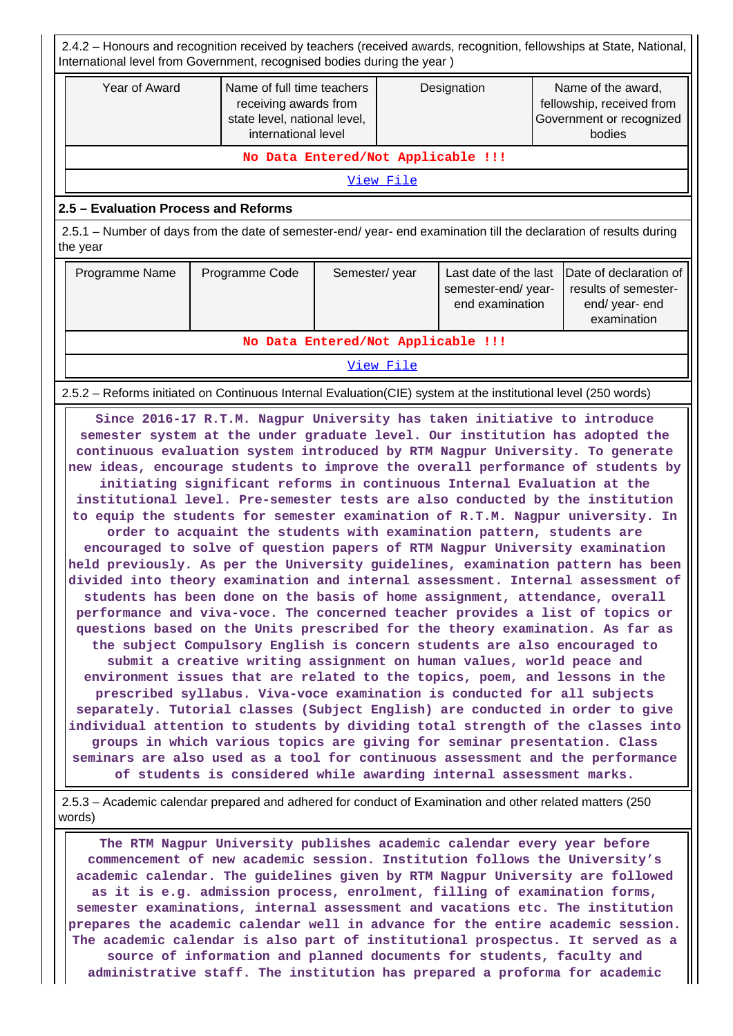2.4.2 – Honours and recognition received by teachers (received awards, recognition, fellowships at State, National, International level from Government, recognised bodies during the year )

| Year of Award                                                                                                                  | Name of full time teachers<br>receiving awards from<br>state level, national level,<br>international level                                                                                                                                                                                                           | Designation |                                                                                 |  |  | Name of the award,<br>fellowship, received from<br>Government or recognized<br>bodies |  |  |  |  |
|--------------------------------------------------------------------------------------------------------------------------------|----------------------------------------------------------------------------------------------------------------------------------------------------------------------------------------------------------------------------------------------------------------------------------------------------------------------|-------------|---------------------------------------------------------------------------------|--|--|---------------------------------------------------------------------------------------|--|--|--|--|
|                                                                                                                                |                                                                                                                                                                                                                                                                                                                      |             | No Data Entered/Not Applicable !!!                                              |  |  |                                                                                       |  |  |  |  |
|                                                                                                                                |                                                                                                                                                                                                                                                                                                                      |             | View File                                                                       |  |  |                                                                                       |  |  |  |  |
| 2.5 - Evaluation Process and Reforms                                                                                           |                                                                                                                                                                                                                                                                                                                      |             |                                                                                 |  |  |                                                                                       |  |  |  |  |
| 2.5.1 – Number of days from the date of semester-end/ year- end examination till the declaration of results during<br>the year |                                                                                                                                                                                                                                                                                                                      |             |                                                                                 |  |  |                                                                                       |  |  |  |  |
| Programme Name                                                                                                                 | Programme Code                                                                                                                                                                                                                                                                                                       |             | Semester/year<br>Last date of the last<br>semester-end/year-<br>end examination |  |  | Date of declaration of<br>results of semester-<br>end/ year- end<br>examination       |  |  |  |  |
|                                                                                                                                | No Data Entered/Not Applicable !!!                                                                                                                                                                                                                                                                                   |             |                                                                                 |  |  |                                                                                       |  |  |  |  |
|                                                                                                                                |                                                                                                                                                                                                                                                                                                                      |             | View File                                                                       |  |  |                                                                                       |  |  |  |  |
| 2.5.2 – Reforms initiated on Continuous Internal Evaluation (CIE) system at the institutional level (250 words)                |                                                                                                                                                                                                                                                                                                                      |             |                                                                                 |  |  |                                                                                       |  |  |  |  |
| new ideas, encourage students to improve the overall performance of students by                                                | Since 2016-17 R.T.M. Nagpur University has taken initiative to introduce<br>semester system at the under graduate level. Our institution has adopted the<br>continuous evaluation system introduced by RTM Nagpur University. To generate<br>initiating significant reforms in continuous Internal Evaluation at the |             |                                                                                 |  |  |                                                                                       |  |  |  |  |

**institutional level. Pre-semester tests are also conducted by the institution to equip the students for semester examination of R.T.M. Nagpur university. In order to acquaint the students with examination pattern, students are encouraged to solve of question papers of RTM Nagpur University examination held previously. As per the University guidelines, examination pattern has been divided into theory examination and internal assessment. Internal assessment of students has been done on the basis of home assignment, attendance, overall performance and viva-voce. The concerned teacher provides a list of topics or questions based on the Units prescribed for the theory examination. As far as the subject Compulsory English is concern students are also encouraged to submit a creative writing assignment on human values, world peace and environment issues that are related to the topics, poem, and lessons in the prescribed syllabus. Viva-voce examination is conducted for all subjects separately. Tutorial classes (Subject English) are conducted in order to give individual attention to students by dividing total strength of the classes into groups in which various topics are giving for seminar presentation. Class seminars are also used as a tool for continuous assessment and the performance of students is considered while awarding internal assessment marks.**

 2.5.3 – Academic calendar prepared and adhered for conduct of Examination and other related matters (250 words)

 **The RTM Nagpur University publishes academic calendar every year before commencement of new academic session. Institution follows the University's academic calendar. The guidelines given by RTM Nagpur University are followed as it is e.g. admission process, enrolment, filling of examination forms, semester examinations, internal assessment and vacations etc. The institution prepares the academic calendar well in advance for the entire academic session. The academic calendar is also part of institutional prospectus. It served as a source of information and planned documents for students, faculty and administrative staff. The institution has prepared a proforma for academic**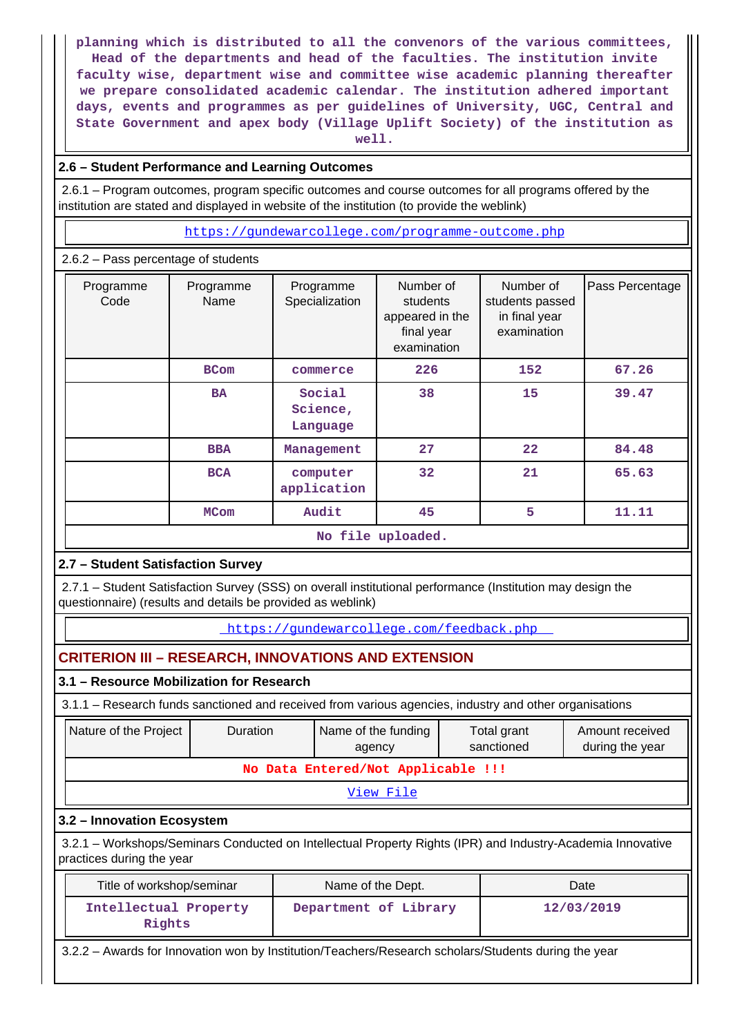**planning which is distributed to all the convenors of the various committees, Head of the departments and head of the faculties. The institution invite faculty wise, department wise and committee wise academic planning thereafter we prepare consolidated academic calendar. The institution adhered important days, events and programmes as per guidelines of University, UGC, Central and State Government and apex body (Village Uplift Society) of the institution as well.**

#### **2.6 – Student Performance and Learning Outcomes**

 2.6.1 – Program outcomes, program specific outcomes and course outcomes for all programs offered by the institution are stated and displayed in website of the institution (to provide the weblink)

<https://gundewarcollege.com/programme-outcome.php>

2.6.2 – Pass percentage of students

|                   | $-$ . assumed to the set of the set of $\sim$ |                                |                                                                       |                                                              |                 |
|-------------------|-----------------------------------------------|--------------------------------|-----------------------------------------------------------------------|--------------------------------------------------------------|-----------------|
| Programme<br>Code | Programme<br>Name                             | Programme<br>Specialization    | Number of<br>students<br>appeared in the<br>final year<br>examination | Number of<br>students passed<br>in final year<br>examination | Pass Percentage |
|                   | <b>BCom</b>                                   | commerce                       | 226                                                                   | 152                                                          | 67.26           |
|                   | <b>BA</b>                                     | Social<br>Science,<br>Language | 38                                                                    | 15                                                           | 39.47           |
|                   | <b>BBA</b>                                    | Management                     | 27                                                                    | $22 \,$                                                      | 84.48           |
|                   | <b>BCA</b>                                    | computer<br>application        | 32                                                                    |                                                              | 65.63           |
|                   | <b>MCom</b>                                   |                                | 45                                                                    | 5                                                            | 11.11           |
|                   |                                               |                                | No file uploaded.                                                     |                                                              |                 |

## **2.7 – Student Satisfaction Survey**

 2.7.1 – Student Satisfaction Survey (SSS) on overall institutional performance (Institution may design the questionnaire) (results and details be provided as weblink)

<https://gundewarcollege.com/feedback.php>

## **CRITERION III – RESEARCH, INNOVATIONS AND EXTENSION**

### **3.1 – Resource Mobilization for Research**

**Rights**

3.1.1 – Research funds sanctioned and received from various agencies, industry and other organisations

|                                    | Nature of the Project                                                                                                                    | <b>Duration</b> |  | Name of the funding<br>agency | Total grant<br>Amount received<br>sanctioned<br>during the year |  |  |  |  |  |
|------------------------------------|------------------------------------------------------------------------------------------------------------------------------------------|-----------------|--|-------------------------------|-----------------------------------------------------------------|--|--|--|--|--|
| No Data Entered/Not Applicable !!! |                                                                                                                                          |                 |  |                               |                                                                 |  |  |  |  |  |
|                                    | View File                                                                                                                                |                 |  |                               |                                                                 |  |  |  |  |  |
|                                    | 3.2 - Innovation Ecosystem                                                                                                               |                 |  |                               |                                                                 |  |  |  |  |  |
|                                    | 3.2.1 – Workshops/Seminars Conducted on Intellectual Property Rights (IPR) and Industry-Academia Innovative<br>practices during the year |                 |  |                               |                                                                 |  |  |  |  |  |
|                                    | Title of workshop/seminar<br>Name of the Dept.<br>Date                                                                                   |                 |  |                               |                                                                 |  |  |  |  |  |
|                                    | Intellectual Property                                                                                                                    |                 |  | Department of Library         | 12/03/2019                                                      |  |  |  |  |  |

3.2.2 – Awards for Innovation won by Institution/Teachers/Research scholars/Students during the year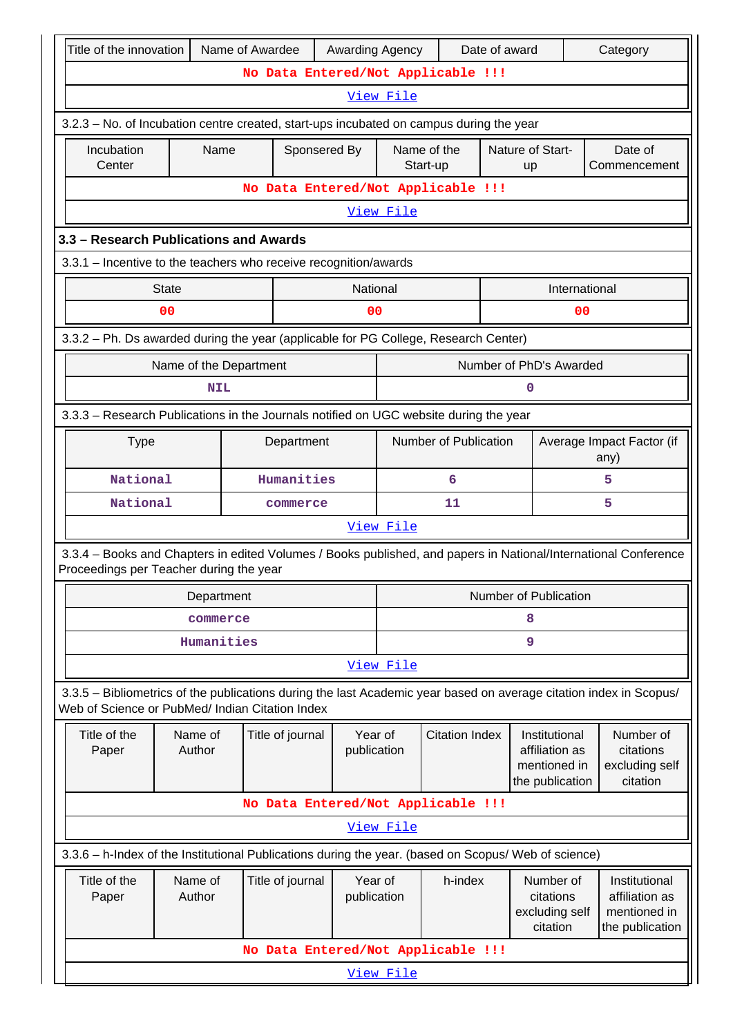|                           | Title of the innovation<br>Name of Awardee<br>Awarding Agency<br>Date of award<br>Category                                                                                                                                                                                                                                                |                   |             |                  |                                    |                        |                                                            |                         |   |                                                                    |                                                      |
|---------------------------|-------------------------------------------------------------------------------------------------------------------------------------------------------------------------------------------------------------------------------------------------------------------------------------------------------------------------------------------|-------------------|-------------|------------------|------------------------------------|------------------------|------------------------------------------------------------|-------------------------|---|--------------------------------------------------------------------|------------------------------------------------------|
|                           | No Data Entered/Not Applicable !!!                                                                                                                                                                                                                                                                                                        |                   |             |                  |                                    |                        |                                                            |                         |   |                                                                    |                                                      |
|                           | <u>View File</u>                                                                                                                                                                                                                                                                                                                          |                   |             |                  |                                    |                        |                                                            |                         |   |                                                                    |                                                      |
|                           | 3.2.3 - No. of Incubation centre created, start-ups incubated on campus during the year                                                                                                                                                                                                                                                   |                   |             |                  |                                    |                        |                                                            |                         |   |                                                                    |                                                      |
|                           | Incubation<br>Center                                                                                                                                                                                                                                                                                                                      | Sponsered By      | Name of the | Start-up         |                                    | Nature of Start-<br>up |                                                            | Date of<br>Commencement |   |                                                                    |                                                      |
|                           | No Data Entered/Not Applicable !!!                                                                                                                                                                                                                                                                                                        |                   |             |                  |                                    |                        |                                                            |                         |   |                                                                    |                                                      |
|                           | View File                                                                                                                                                                                                                                                                                                                                 |                   |             |                  |                                    |                        |                                                            |                         |   |                                                                    |                                                      |
|                           | 3.3 - Research Publications and Awards                                                                                                                                                                                                                                                                                                    |                   |             |                  |                                    |                        |                                                            |                         |   |                                                                    |                                                      |
|                           | 3.3.1 - Incentive to the teachers who receive recognition/awards                                                                                                                                                                                                                                                                          |                   |             |                  |                                    |                        |                                                            |                         |   |                                                                    |                                                      |
|                           |                                                                                                                                                                                                                                                                                                                                           | <b>State</b>      |             |                  | <b>National</b>                    |                        |                                                            |                         |   | International                                                      |                                                      |
|                           |                                                                                                                                                                                                                                                                                                                                           | 0 <sub>0</sub>    |             |                  | 00                                 |                        |                                                            |                         |   | 0 <sub>0</sub>                                                     |                                                      |
|                           | 3.3.2 - Ph. Ds awarded during the year (applicable for PG College, Research Center)                                                                                                                                                                                                                                                       |                   |             |                  |                                    |                        |                                                            |                         |   |                                                                    |                                                      |
|                           | Number of PhD's Awarded<br>Name of the Department                                                                                                                                                                                                                                                                                         |                   |             |                  |                                    |                        |                                                            |                         |   |                                                                    |                                                      |
|                           | <b>NIL</b><br>0                                                                                                                                                                                                                                                                                                                           |                   |             |                  |                                    |                        |                                                            |                         |   |                                                                    |                                                      |
|                           | 3.3.3 - Research Publications in the Journals notified on UGC website during the year                                                                                                                                                                                                                                                     |                   |             |                  |                                    |                        |                                                            |                         |   |                                                                    |                                                      |
| <b>Type</b><br>Department |                                                                                                                                                                                                                                                                                                                                           |                   |             |                  |                                    |                        | Number of Publication<br>Average Impact Factor (if<br>any) |                         |   |                                                                    |                                                      |
|                           | National<br>Humanities                                                                                                                                                                                                                                                                                                                    |                   |             |                  |                                    |                        | 6                                                          |                         |   | 5                                                                  |                                                      |
|                           | National                                                                                                                                                                                                                                                                                                                                  |                   |             | commerce         |                                    | 11                     |                                                            |                         |   | 5                                                                  |                                                      |
|                           |                                                                                                                                                                                                                                                                                                                                           |                   |             |                  |                                    | <u>View File</u>       |                                                            |                         |   |                                                                    |                                                      |
|                           | 3.3.4 – Books and Chapters in edited Volumes / Books published, and papers in National/International Conference<br>Proceedings per Teacher during the year                                                                                                                                                                                |                   |             |                  |                                    |                        |                                                            |                         |   |                                                                    |                                                      |
|                           |                                                                                                                                                                                                                                                                                                                                           | Department        |             |                  |                                    |                        |                                                            |                         |   | Number of Publication                                              |                                                      |
|                           |                                                                                                                                                                                                                                                                                                                                           | commerce          |             |                  |                                    |                        |                                                            |                         | 8 |                                                                    |                                                      |
|                           |                                                                                                                                                                                                                                                                                                                                           | Humanities        |             |                  |                                    |                        |                                                            |                         | 9 |                                                                    |                                                      |
|                           |                                                                                                                                                                                                                                                                                                                                           |                   |             |                  |                                    | View File              |                                                            |                         |   |                                                                    |                                                      |
|                           | 3.3.5 - Bibliometrics of the publications during the last Academic year based on average citation index in Scopus/<br>Web of Science or PubMed/ Indian Citation Index                                                                                                                                                                     |                   |             |                  |                                    |                        |                                                            |                         |   |                                                                    |                                                      |
|                           | Title of the<br>Paper                                                                                                                                                                                                                                                                                                                     | Name of<br>Author |             | Title of journal | Year of<br>publication             |                        |                                                            | <b>Citation Index</b>   |   | Institutional<br>affiliation as<br>mentioned in<br>the publication | Number of<br>citations<br>excluding self<br>citation |
|                           |                                                                                                                                                                                                                                                                                                                                           |                   |             |                  | No Data Entered/Not Applicable !!! |                        |                                                            |                         |   |                                                                    |                                                      |
|                           |                                                                                                                                                                                                                                                                                                                                           |                   |             |                  |                                    | <u>View File</u>       |                                                            |                         |   |                                                                    |                                                      |
|                           |                                                                                                                                                                                                                                                                                                                                           |                   |             |                  |                                    |                        |                                                            |                         |   |                                                                    |                                                      |
|                           | 3.3.6 - h-Index of the Institutional Publications during the year. (based on Scopus/ Web of science)<br>Year of<br>Title of the<br>Name of<br>h-index<br>Number of<br>Institutional<br>Title of journal<br>Author<br>publication<br>citations<br>affiliation as<br>Paper<br>excluding self<br>mentioned in<br>citation<br>the publication |                   |             |                  |                                    |                        |                                                            |                         |   |                                                                    |                                                      |
|                           |                                                                                                                                                                                                                                                                                                                                           |                   |             |                  | No Data Entered/Not Applicable !!! |                        |                                                            |                         |   |                                                                    |                                                      |
|                           |                                                                                                                                                                                                                                                                                                                                           |                   |             |                  |                                    | View File              |                                                            |                         |   |                                                                    |                                                      |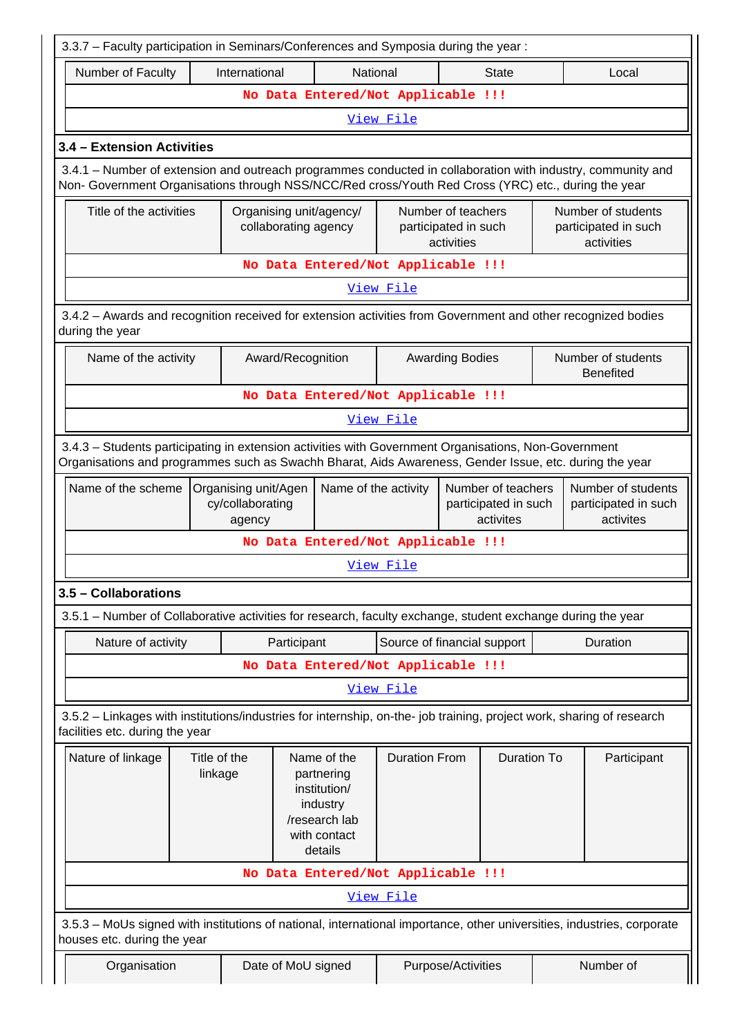| 3.3.7 - Faculty participation in Seminars/Conferences and Symposia during the year:                                                                                                                                |                         |                                                    |                                                 |                                                                                                   |                                                          |                        |                                                          |  |  |                                                         |
|--------------------------------------------------------------------------------------------------------------------------------------------------------------------------------------------------------------------|-------------------------|----------------------------------------------------|-------------------------------------------------|---------------------------------------------------------------------------------------------------|----------------------------------------------------------|------------------------|----------------------------------------------------------|--|--|---------------------------------------------------------|
| Number of Faculty                                                                                                                                                                                                  |                         | International                                      |                                                 | National                                                                                          |                                                          |                        | <b>State</b>                                             |  |  | Local                                                   |
|                                                                                                                                                                                                                    |                         |                                                    |                                                 | No Data Entered/Not Applicable !!!                                                                |                                                          |                        |                                                          |  |  |                                                         |
|                                                                                                                                                                                                                    |                         |                                                    |                                                 |                                                                                                   | View File                                                |                        |                                                          |  |  |                                                         |
| 3.4 - Extension Activities                                                                                                                                                                                         |                         |                                                    |                                                 |                                                                                                   |                                                          |                        |                                                          |  |  |                                                         |
| 3.4.1 – Number of extension and outreach programmes conducted in collaboration with industry, community and<br>Non- Government Organisations through NSS/NCC/Red cross/Youth Red Cross (YRC) etc., during the year |                         |                                                    |                                                 |                                                                                                   |                                                          |                        |                                                          |  |  |                                                         |
| Title of the activities                                                                                                                                                                                            |                         |                                                    | Organising unit/agency/<br>collaborating agency |                                                                                                   | Number of teachers<br>participated in such<br>activities |                        | Number of students<br>participated in such<br>activities |  |  |                                                         |
|                                                                                                                                                                                                                    |                         |                                                    |                                                 | No Data Entered/Not Applicable !!!                                                                |                                                          |                        |                                                          |  |  |                                                         |
|                                                                                                                                                                                                                    |                         |                                                    |                                                 |                                                                                                   | View File                                                |                        |                                                          |  |  |                                                         |
| 3.4.2 - Awards and recognition received for extension activities from Government and other recognized bodies<br>during the year                                                                                    |                         |                                                    |                                                 |                                                                                                   |                                                          |                        |                                                          |  |  |                                                         |
| Name of the activity                                                                                                                                                                                               |                         |                                                    | Award/Recognition                               |                                                                                                   |                                                          | <b>Awarding Bodies</b> |                                                          |  |  | Number of students<br><b>Benefited</b>                  |
|                                                                                                                                                                                                                    |                         |                                                    |                                                 | No Data Entered/Not Applicable !!!                                                                |                                                          |                        |                                                          |  |  |                                                         |
|                                                                                                                                                                                                                    |                         |                                                    |                                                 |                                                                                                   | View File                                                |                        |                                                          |  |  |                                                         |
| 3.4.3 - Students participating in extension activities with Government Organisations, Non-Government<br>Organisations and programmes such as Swachh Bharat, Aids Awareness, Gender Issue, etc. during the year     |                         |                                                    |                                                 |                                                                                                   |                                                          |                        |                                                          |  |  |                                                         |
| Name of the scheme                                                                                                                                                                                                 |                         | Organising unit/Agen<br>cy/collaborating<br>agency |                                                 | Name of the activity                                                                              |                                                          |                        | Number of teachers<br>participated in such<br>activites  |  |  | Number of students<br>participated in such<br>activites |
|                                                                                                                                                                                                                    |                         |                                                    |                                                 | No Data Entered/Not Applicable !!!                                                                |                                                          |                        |                                                          |  |  |                                                         |
|                                                                                                                                                                                                                    |                         |                                                    |                                                 |                                                                                                   | <u>View File</u>                                         |                        |                                                          |  |  |                                                         |
| 3.5 - Collaborations                                                                                                                                                                                               |                         |                                                    |                                                 |                                                                                                   |                                                          |                        |                                                          |  |  |                                                         |
| 3.5.1 – Number of Collaborative activities for research, faculty exchange, student exchange during the year                                                                                                        |                         |                                                    |                                                 |                                                                                                   |                                                          |                        |                                                          |  |  |                                                         |
| Nature of activity                                                                                                                                                                                                 |                         |                                                    | Participant                                     |                                                                                                   | Source of financial support                              |                        |                                                          |  |  | Duration                                                |
|                                                                                                                                                                                                                    |                         |                                                    |                                                 | No Data Entered/Not Applicable !!!                                                                |                                                          |                        |                                                          |  |  |                                                         |
|                                                                                                                                                                                                                    |                         |                                                    |                                                 |                                                                                                   | View File                                                |                        |                                                          |  |  |                                                         |
| 3.5.2 - Linkages with institutions/industries for internship, on-the- job training, project work, sharing of research<br>facilities etc. during the year                                                           |                         |                                                    |                                                 |                                                                                                   |                                                          |                        |                                                          |  |  |                                                         |
| Nature of linkage                                                                                                                                                                                                  | Title of the<br>linkage |                                                    |                                                 | Name of the<br>partnering<br>institution/<br>industry<br>/research lab<br>with contact<br>details | <b>Duration From</b>                                     |                        | <b>Duration To</b>                                       |  |  | Participant                                             |
|                                                                                                                                                                                                                    |                         |                                                    |                                                 | No Data Entered/Not Applicable !!!                                                                |                                                          |                        |                                                          |  |  |                                                         |
|                                                                                                                                                                                                                    |                         |                                                    |                                                 |                                                                                                   | <u>View File</u>                                         |                        |                                                          |  |  |                                                         |
| 3.5.3 - MoUs signed with institutions of national, international importance, other universities, industries, corporate<br>houses etc. during the year                                                              |                         |                                                    |                                                 |                                                                                                   |                                                          |                        |                                                          |  |  |                                                         |
| Organisation                                                                                                                                                                                                       |                         |                                                    |                                                 | Date of MoU signed                                                                                |                                                          | Purpose/Activities     |                                                          |  |  | Number of                                               |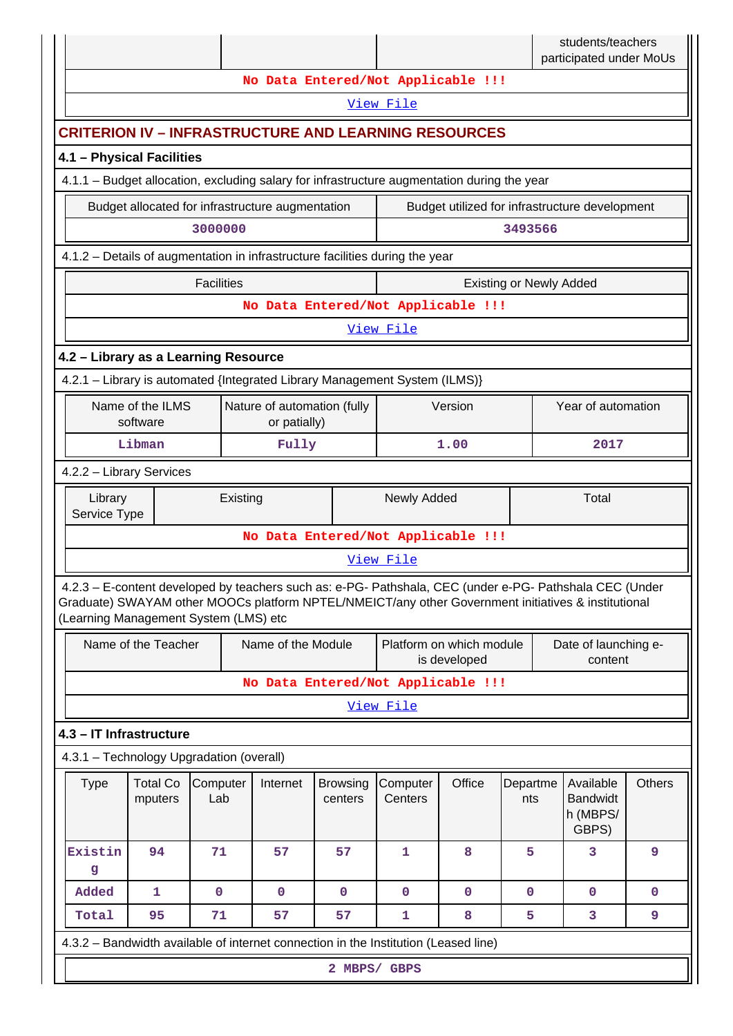|                                                                                                                                                                                                                                                         |                              |                   |          |                                                  |                            |                                    |                                          |                                | students/teachers<br>participated under MoUs      |               |
|---------------------------------------------------------------------------------------------------------------------------------------------------------------------------------------------------------------------------------------------------------|------------------------------|-------------------|----------|--------------------------------------------------|----------------------------|------------------------------------|------------------------------------------|--------------------------------|---------------------------------------------------|---------------|
|                                                                                                                                                                                                                                                         |                              |                   |          |                                                  |                            | No Data Entered/Not Applicable !!! |                                          |                                |                                                   |               |
|                                                                                                                                                                                                                                                         |                              |                   |          |                                                  |                            | View File                          |                                          |                                |                                                   |               |
| <b>CRITERION IV - INFRASTRUCTURE AND LEARNING RESOURCES</b>                                                                                                                                                                                             |                              |                   |          |                                                  |                            |                                    |                                          |                                |                                                   |               |
| 4.1 - Physical Facilities                                                                                                                                                                                                                               |                              |                   |          |                                                  |                            |                                    |                                          |                                |                                                   |               |
| 4.1.1 – Budget allocation, excluding salary for infrastructure augmentation during the year                                                                                                                                                             |                              |                   |          |                                                  |                            |                                    |                                          |                                |                                                   |               |
|                                                                                                                                                                                                                                                         |                              |                   |          | Budget allocated for infrastructure augmentation |                            |                                    |                                          |                                | Budget utilized for infrastructure development    |               |
|                                                                                                                                                                                                                                                         | 3000000<br>3493566           |                   |          |                                                  |                            |                                    |                                          |                                |                                                   |               |
| 4.1.2 - Details of augmentation in infrastructure facilities during the year                                                                                                                                                                            |                              |                   |          |                                                  |                            |                                    |                                          |                                |                                                   |               |
|                                                                                                                                                                                                                                                         |                              | <b>Facilities</b> |          |                                                  |                            |                                    |                                          | <b>Existing or Newly Added</b> |                                                   |               |
|                                                                                                                                                                                                                                                         |                              |                   |          |                                                  |                            | No Data Entered/Not Applicable !!! |                                          |                                |                                                   |               |
|                                                                                                                                                                                                                                                         |                              |                   |          |                                                  |                            | View File                          |                                          |                                |                                                   |               |
| 4.2 - Library as a Learning Resource                                                                                                                                                                                                                    |                              |                   |          |                                                  |                            |                                    |                                          |                                |                                                   |               |
| 4.2.1 - Library is automated {Integrated Library Management System (ILMS)}                                                                                                                                                                              |                              |                   |          |                                                  |                            |                                    |                                          |                                |                                                   |               |
|                                                                                                                                                                                                                                                         | Name of the ILMS<br>software |                   |          | Nature of automation (fully<br>or patially)      |                            |                                    | Version                                  |                                | Year of automation                                |               |
|                                                                                                                                                                                                                                                         | Libman                       |                   |          | Fully                                            |                            |                                    | 1.00                                     |                                | 2017                                              |               |
| 4.2.2 - Library Services                                                                                                                                                                                                                                |                              |                   |          |                                                  |                            |                                    |                                          |                                |                                                   |               |
| Library<br>Service Type                                                                                                                                                                                                                                 |                              |                   | Existing |                                                  |                            | Newly Added                        |                                          |                                | Total                                             |               |
|                                                                                                                                                                                                                                                         |                              |                   |          |                                                  |                            | No Data Entered/Not Applicable !!! |                                          |                                |                                                   |               |
|                                                                                                                                                                                                                                                         |                              |                   |          |                                                  |                            | View File                          |                                          |                                |                                                   |               |
| 4.2.3 - E-content developed by teachers such as: e-PG- Pathshala, CEC (under e-PG- Pathshala CEC (Under<br>Graduate) SWAYAM other MOOCs platform NPTEL/NMEICT/any other Government initiatives & institutional<br>(Learning Management System (LMS) etc |                              |                   |          |                                                  |                            |                                    |                                          |                                |                                                   |               |
|                                                                                                                                                                                                                                                         | Name of the Teacher          |                   |          | Name of the Module                               |                            |                                    | Platform on which module<br>is developed |                                | Date of launching e-<br>content                   |               |
|                                                                                                                                                                                                                                                         |                              |                   |          |                                                  |                            | No Data Entered/Not Applicable !!! |                                          |                                |                                                   |               |
|                                                                                                                                                                                                                                                         |                              |                   |          |                                                  |                            | View File                          |                                          |                                |                                                   |               |
| 4.3 - IT Infrastructure                                                                                                                                                                                                                                 |                              |                   |          |                                                  |                            |                                    |                                          |                                |                                                   |               |
| 4.3.1 - Technology Upgradation (overall)                                                                                                                                                                                                                |                              |                   |          |                                                  |                            |                                    |                                          |                                |                                                   |               |
| <b>Type</b>                                                                                                                                                                                                                                             | <b>Total Co</b><br>mputers   | Computer<br>Lab   |          | Internet                                         | <b>Browsing</b><br>centers | Computer<br>Centers                | Office                                   | Departme<br>nts                | Available<br><b>Bandwidt</b><br>h (MBPS/<br>GBPS) | <b>Others</b> |
| Existin<br>g                                                                                                                                                                                                                                            | 94                           | 71                |          | 57                                               | 57                         | 1                                  | 8                                        | 5                              | 3                                                 | 9             |
| Added                                                                                                                                                                                                                                                   | $\mathbf{1}$                 | $\mathbf 0$       |          | $\mathbf{0}$                                     | $\mathbf 0$                | $\mathbf 0$                        | $\mathbf 0$                              | $\mathbf{0}$                   | $\mathbf{O}$                                      | $\mathbf{0}$  |
| Total                                                                                                                                                                                                                                                   | 95                           | 71                |          | 57                                               | 57                         | 1                                  | 8                                        | 5                              | 3                                                 | 9             |
| 4.3.2 - Bandwidth available of internet connection in the Institution (Leased line)                                                                                                                                                                     |                              |                   |          |                                                  |                            |                                    |                                          |                                |                                                   |               |
|                                                                                                                                                                                                                                                         |                              |                   |          |                                                  | 2 MBPS/ GBPS               |                                    |                                          |                                |                                                   |               |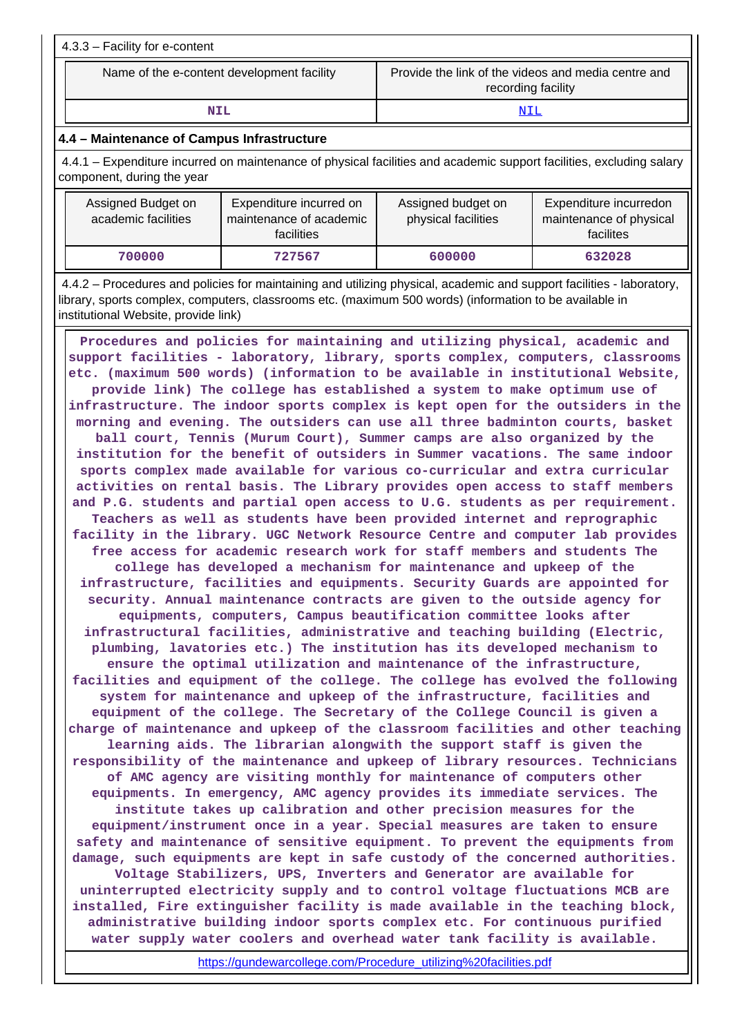| $\vert$ 4.3.3 – Facility for e-content     |                                                                           |
|--------------------------------------------|---------------------------------------------------------------------------|
| Name of the e-content development facility | Provide the link of the videos and media centre and<br>recording facility |
| NTT.                                       |                                                                           |

## **4.4 – Maintenance of Campus Infrastructure**

 4.4.1 – Expenditure incurred on maintenance of physical facilities and academic support facilities, excluding salary component, during the year

| Assigned Budget on<br>academic facilities | Expenditure incurred on<br>maintenance of academic<br>facilities | Assigned budget on<br>physical facilities | Expenditure incurredon<br>maintenance of physical<br>facilites |
|-------------------------------------------|------------------------------------------------------------------|-------------------------------------------|----------------------------------------------------------------|
| 700000                                    | 727567                                                           | 600000                                    | 632028                                                         |

 4.4.2 – Procedures and policies for maintaining and utilizing physical, academic and support facilities - laboratory, library, sports complex, computers, classrooms etc. (maximum 500 words) (information to be available in institutional Website, provide link)

 **Procedures and policies for maintaining and utilizing physical, academic and support facilities - laboratory, library, sports complex, computers, classrooms etc. (maximum 500 words) (information to be available in institutional Website, provide link) The college has established a system to make optimum use of infrastructure. The indoor sports complex is kept open for the outsiders in the morning and evening. The outsiders can use all three badminton courts, basket ball court, Tennis (Murum Court), Summer camps are also organized by the institution for the benefit of outsiders in Summer vacations. The same indoor sports complex made available for various co-curricular and extra curricular activities on rental basis. The Library provides open access to staff members and P.G. students and partial open access to U.G. students as per requirement. Teachers as well as students have been provided internet and reprographic facility in the library. UGC Network Resource Centre and computer lab provides free access for academic research work for staff members and students The college has developed a mechanism for maintenance and upkeep of the infrastructure, facilities and equipments. Security Guards are appointed for security. Annual maintenance contracts are given to the outside agency for equipments, computers, Campus beautification committee looks after infrastructural facilities, administrative and teaching building (Electric, plumbing, lavatories etc.) The institution has its developed mechanism to ensure the optimal utilization and maintenance of the infrastructure, facilities and equipment of the college. The college has evolved the following system for maintenance and upkeep of the infrastructure, facilities and equipment of the college. The Secretary of the College Council is given a charge of maintenance and upkeep of the classroom facilities and other teaching learning aids. The librarian alongwith the support staff is given the responsibility of the maintenance and upkeep of library resources. Technicians of AMC agency are visiting monthly for maintenance of computers other equipments. In emergency, AMC agency provides its immediate services. The institute takes up calibration and other precision measures for the equipment/instrument once in a year. Special measures are taken to ensure safety and maintenance of sensitive equipment. To prevent the equipments from damage, such equipments are kept in safe custody of the concerned authorities. Voltage Stabilizers, UPS, Inverters and Generator are available for uninterrupted electricity supply and to control voltage fluctuations MCB are installed, Fire extinguisher facility is made available in the teaching block, administrative building indoor sports complex etc. For continuous purified water supply water coolers and overhead water tank facility is available.**

[https://gundewarcollege.com/Procedure\\_utilizing%20facilities.pdf](https://gundewarcollege.com/Procedure_utilizing%20facilities.pdf)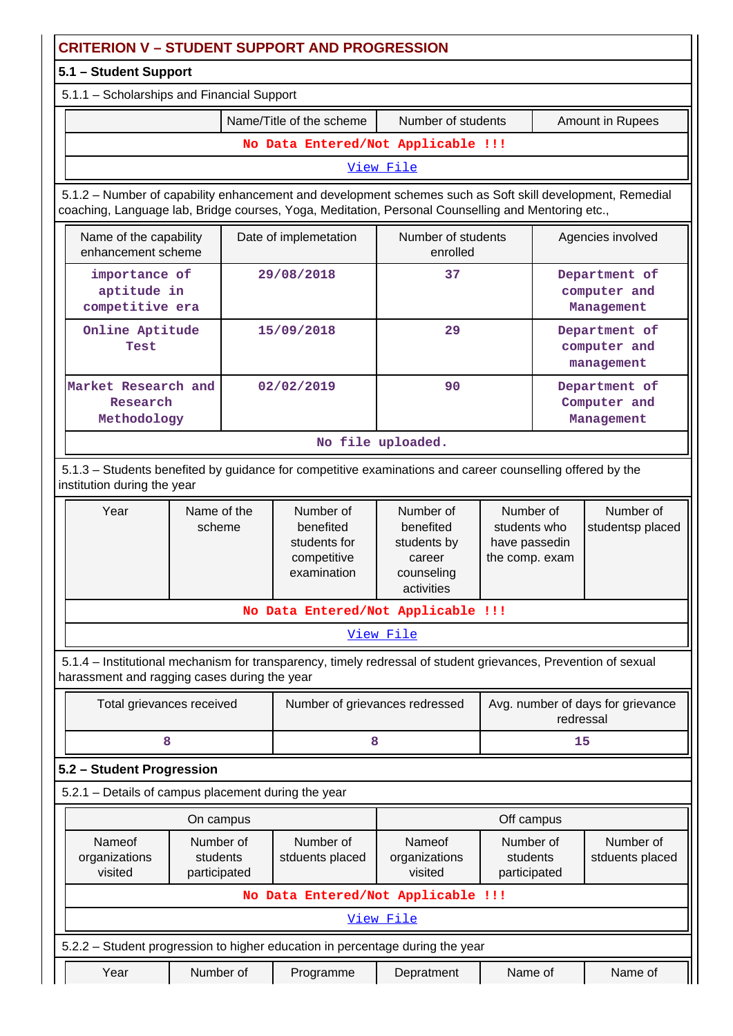| <b>CRITERION V - STUDENT SUPPORT AND PROGRESSION</b>                                                                                                                                                            |                                                 |  |                                                                      |                                                                             |                                                              |                                             |  |
|-----------------------------------------------------------------------------------------------------------------------------------------------------------------------------------------------------------------|-------------------------------------------------|--|----------------------------------------------------------------------|-----------------------------------------------------------------------------|--------------------------------------------------------------|---------------------------------------------|--|
| 5.1 - Student Support                                                                                                                                                                                           |                                                 |  |                                                                      |                                                                             |                                                              |                                             |  |
|                                                                                                                                                                                                                 | 5.1.1 - Scholarships and Financial Support      |  |                                                                      |                                                                             |                                                              |                                             |  |
|                                                                                                                                                                                                                 | Name/Title of the scheme                        |  |                                                                      | Number of students<br>Amount in Rupees                                      |                                                              |                                             |  |
|                                                                                                                                                                                                                 |                                                 |  | No Data Entered/Not Applicable !!!                                   |                                                                             |                                                              |                                             |  |
|                                                                                                                                                                                                                 | View File                                       |  |                                                                      |                                                                             |                                                              |                                             |  |
| 5.1.2 - Number of capability enhancement and development schemes such as Soft skill development, Remedial<br>coaching, Language lab, Bridge courses, Yoga, Meditation, Personal Counselling and Mentoring etc., |                                                 |  |                                                                      |                                                                             |                                                              |                                             |  |
| Name of the capability<br>enhancement scheme                                                                                                                                                                    |                                                 |  | Date of implemetation                                                | Number of students<br>enrolled                                              |                                                              | Agencies involved                           |  |
|                                                                                                                                                                                                                 | importance of<br>aptitude in<br>competitive era |  | 29/08/2018                                                           | 37                                                                          |                                                              | Department of<br>computer and<br>Management |  |
| Online Aptitude<br>Test                                                                                                                                                                                         |                                                 |  | 15/09/2018                                                           | 29                                                                          |                                                              | Department of<br>computer and<br>management |  |
|                                                                                                                                                                                                                 | Market Research and<br>Research<br>Methodology  |  | 02/02/2019<br>90                                                     |                                                                             |                                                              | Department of<br>Computer and<br>Management |  |
|                                                                                                                                                                                                                 |                                                 |  |                                                                      | No file uploaded.                                                           |                                                              |                                             |  |
| 5.1.3 - Students benefited by guidance for competitive examinations and career counselling offered by the<br>institution during the year                                                                        |                                                 |  |                                                                      |                                                                             |                                                              |                                             |  |
| Year                                                                                                                                                                                                            | Name of the<br>scheme                           |  | Number of<br>benefited<br>students for<br>competitive<br>examination | Number of<br>benefited<br>students by<br>career<br>counseling<br>activities | Number of<br>students who<br>have passedin<br>the comp. exam | Number of<br>studentsp placed               |  |
|                                                                                                                                                                                                                 |                                                 |  | No Data Entered/Not Applicable !!!                                   |                                                                             |                                                              |                                             |  |
|                                                                                                                                                                                                                 |                                                 |  |                                                                      | <u>View File</u>                                                            |                                                              |                                             |  |
| 5.1.4 – Institutional mechanism for transparency, timely redressal of student grievances, Prevention of sexual<br>harassment and ragging cases during the year                                                  |                                                 |  |                                                                      |                                                                             |                                                              |                                             |  |
| Total grievances received                                                                                                                                                                                       |                                                 |  | Number of grievances redressed                                       |                                                                             | Avg. number of days for grievance<br>redressal               |                                             |  |
| 8                                                                                                                                                                                                               |                                                 |  | 8                                                                    |                                                                             |                                                              | 15                                          |  |
| 5.2 - Student Progression                                                                                                                                                                                       |                                                 |  |                                                                      |                                                                             |                                                              |                                             |  |
| 5.2.1 - Details of campus placement during the year                                                                                                                                                             |                                                 |  |                                                                      |                                                                             |                                                              |                                             |  |
|                                                                                                                                                                                                                 | Off campus<br>On campus                         |  |                                                                      |                                                                             |                                                              |                                             |  |
| Nameof<br>organizations<br>visited                                                                                                                                                                              | Number of<br>students<br>participated           |  | Number of<br>stduents placed                                         | Nameof<br>organizations<br>visited                                          | Number of<br>students<br>participated                        | Number of<br>stduents placed                |  |
|                                                                                                                                                                                                                 |                                                 |  | No Data Entered/Not Applicable !!!                                   |                                                                             |                                                              |                                             |  |
|                                                                                                                                                                                                                 |                                                 |  |                                                                      | View File                                                                   |                                                              |                                             |  |
| 5.2.2 - Student progression to higher education in percentage during the year                                                                                                                                   |                                                 |  |                                                                      |                                                                             |                                                              |                                             |  |
| Year                                                                                                                                                                                                            | Number of                                       |  | Programme                                                            | Depratment                                                                  | Name of                                                      | Name of                                     |  |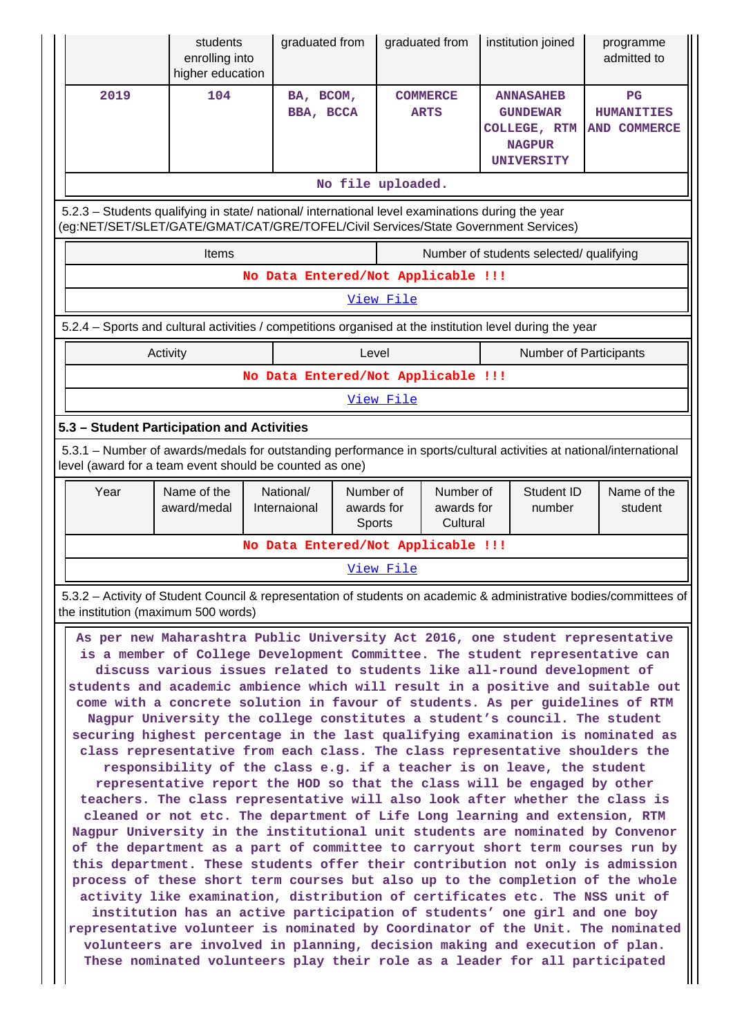|                                                                                                                                                                                        | enrolling into<br>higher education         | graduated from                                                                                                                                                                                      | graduated from                 | institution joined                                                                 | programme<br>admitted to                                |  |  |
|----------------------------------------------------------------------------------------------------------------------------------------------------------------------------------------|--------------------------------------------|-----------------------------------------------------------------------------------------------------------------------------------------------------------------------------------------------------|--------------------------------|------------------------------------------------------------------------------------|---------------------------------------------------------|--|--|
| 2019                                                                                                                                                                                   | 104                                        | BA, BCOM,<br>BBA, BCCA                                                                                                                                                                              | <b>COMMERCE</b><br><b>ARTS</b> | <b>ANNASAHEB</b><br><b>GUNDEWAR</b><br>COLLEGE, RTM<br><b>NAGPUR</b><br>UNIVERSITY | $_{\rm PG}$<br><b>HUMANITIES</b><br><b>AND COMMERCE</b> |  |  |
|                                                                                                                                                                                        |                                            |                                                                                                                                                                                                     | No file uploaded.              |                                                                                    |                                                         |  |  |
| 5.2.3 - Students qualifying in state/ national/ international level examinations during the year<br>(eg:NET/SET/SLET/GATE/GMAT/CAT/GRE/TOFEL/Civil Services/State Government Services) |                                            |                                                                                                                                                                                                     |                                |                                                                                    |                                                         |  |  |
|                                                                                                                                                                                        | Items                                      |                                                                                                                                                                                                     |                                | Number of students selected/ qualifying                                            |                                                         |  |  |
|                                                                                                                                                                                        |                                            | No Data Entered/Not Applicable !!!                                                                                                                                                                  |                                |                                                                                    |                                                         |  |  |
|                                                                                                                                                                                        |                                            |                                                                                                                                                                                                     | View File                      |                                                                                    |                                                         |  |  |
|                                                                                                                                                                                        |                                            | 5.2.4 – Sports and cultural activities / competitions organised at the institution level during the year                                                                                            |                                |                                                                                    |                                                         |  |  |
|                                                                                                                                                                                        | Activity                                   | No Data Entered/Not Applicable !!!                                                                                                                                                                  | Level                          | Number of Participants                                                             |                                                         |  |  |
|                                                                                                                                                                                        |                                            |                                                                                                                                                                                                     | View File                      |                                                                                    |                                                         |  |  |
|                                                                                                                                                                                        | 5.3 - Student Participation and Activities |                                                                                                                                                                                                     |                                |                                                                                    |                                                         |  |  |
|                                                                                                                                                                                        |                                            | 5.3.1 - Number of awards/medals for outstanding performance in sports/cultural activities at national/international                                                                                 |                                |                                                                                    |                                                         |  |  |
| Year                                                                                                                                                                                   | Name of the                                | level (award for a team event should be counted as one)<br>National/                                                                                                                                | Number of<br>Number of         | Student ID                                                                         | Name of the                                             |  |  |
|                                                                                                                                                                                        | award/medal                                | Internaional                                                                                                                                                                                        | awards for<br>awards for       | number                                                                             | student                                                 |  |  |
|                                                                                                                                                                                        |                                            | No Data Entered/Not Applicable !!!                                                                                                                                                                  | Cultural<br>Sports             |                                                                                    |                                                         |  |  |
|                                                                                                                                                                                        |                                            |                                                                                                                                                                                                     | View File                      |                                                                                    |                                                         |  |  |
|                                                                                                                                                                                        | the institution (maximum 500 words)        | 5.3.2 - Activity of Student Council & representation of students on academic & administrative bodies/committees of<br>As per new Maharashtra Public University Act 2016, one student representative |                                |                                                                                    |                                                         |  |  |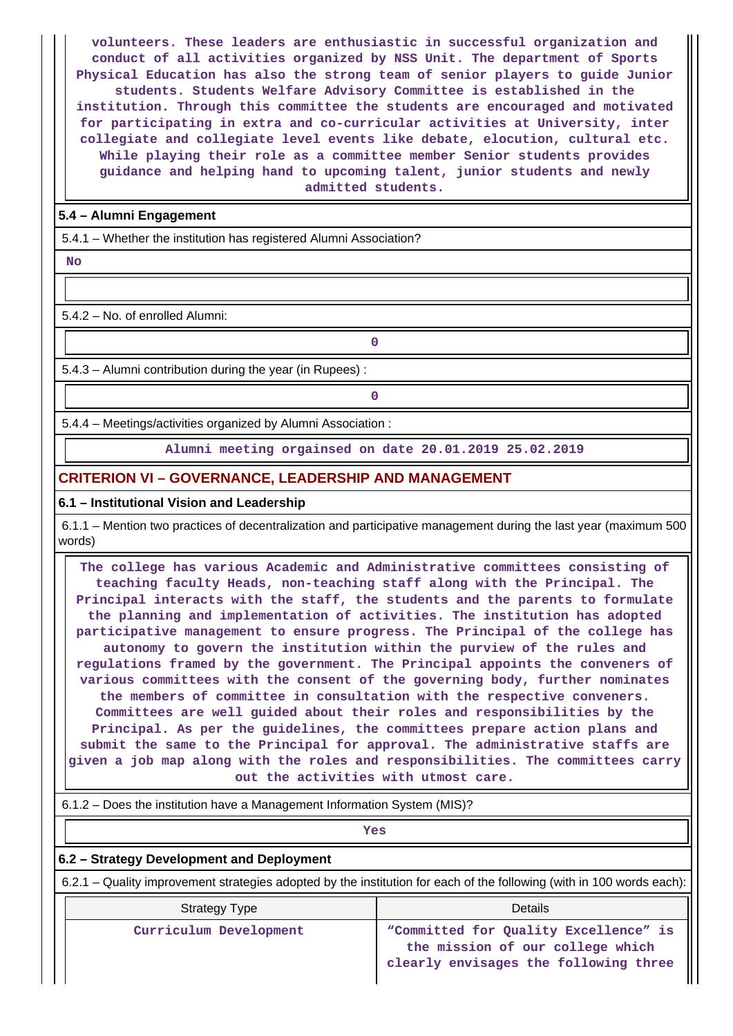**volunteers. These leaders are enthusiastic in successful organization and conduct of all activities organized by NSS Unit. The department of Sports Physical Education has also the strong team of senior players to guide Junior students. Students Welfare Advisory Committee is established in the institution. Through this committee the students are encouraged and motivated for participating in extra and co-curricular activities at University, inter collegiate and collegiate level events like debate, elocution, cultural etc. While playing their role as a committee member Senior students provides guidance and helping hand to upcoming talent, junior students and newly admitted students.**

### **5.4 – Alumni Engagement**

5.4.1 – Whether the institution has registered Alumni Association?

 **No**

5.4.2 – No. of enrolled Alumni:

**0**

5.4.3 – Alumni contribution during the year (in Rupees) :

**0**

5.4.4 – Meetings/activities organized by Alumni Association :

**Alumni meeting orgainsed on date 20.01.2019 25.02.2019**

#### **CRITERION VI – GOVERNANCE, LEADERSHIP AND MANAGEMENT**

#### **6.1 – Institutional Vision and Leadership**

 6.1.1 – Mention two practices of decentralization and participative management during the last year (maximum 500 words)

 **The college has various Academic and Administrative committees consisting of teaching faculty Heads, non-teaching staff along with the Principal. The Principal interacts with the staff, the students and the parents to formulate the planning and implementation of activities. The institution has adopted participative management to ensure progress. The Principal of the college has autonomy to govern the institution within the purview of the rules and regulations framed by the government. The Principal appoints the conveners of various committees with the consent of the governing body, further nominates the members of committee in consultation with the respective conveners. Committees are well guided about their roles and responsibilities by the Principal. As per the guidelines, the committees prepare action plans and submit the same to the Principal for approval. The administrative staffs are given a job map along with the roles and responsibilities. The committees carry out the activities with utmost care.**

6.1.2 – Does the institution have a Management Information System (MIS)?

| <b>Yes</b>                                                                                                            |                                                                                                                    |  |  |  |
|-----------------------------------------------------------------------------------------------------------------------|--------------------------------------------------------------------------------------------------------------------|--|--|--|
| 6.2 - Strategy Development and Deployment                                                                             |                                                                                                                    |  |  |  |
| 6.2.1 – Quality improvement strategies adopted by the institution for each of the following (with in 100 words each): |                                                                                                                    |  |  |  |
| Strategy Type                                                                                                         | Details                                                                                                            |  |  |  |
| Curriculum Development                                                                                                | "Committed for Quality Excellence" is<br>the mission of our college which<br>clearly envisages the following three |  |  |  |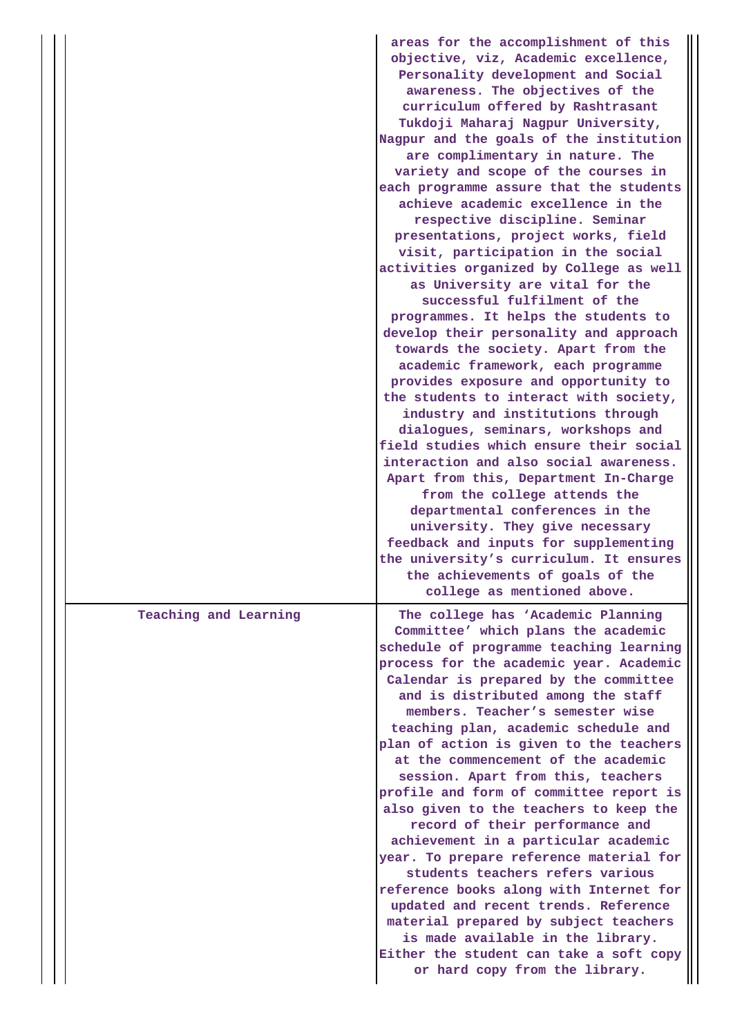|                       | areas for the accomplishment of this<br>objective, viz, Academic excellence,<br>Personality development and Social<br>awareness. The objectives of the<br>curriculum offered by Rashtrasant<br>Tukdoji Maharaj Nagpur University,<br>Nagpur and the goals of the institution<br>are complimentary in nature. The<br>variety and scope of the courses in<br>each programme assure that the students<br>achieve academic excellence in the<br>respective discipline. Seminar<br>presentations, project works, field<br>visit, participation in the social<br>activities organized by College as well<br>as University are vital for the<br>successful fulfilment of the<br>programmes. It helps the students to<br>develop their personality and approach<br>towards the society. Apart from the<br>academic framework, each programme<br>provides exposure and opportunity to<br>the students to interact with society,<br>industry and institutions through<br>dialogues, seminars, workshops and<br>field studies which ensure their social<br>interaction and also social awareness.<br>Apart from this, Department In-Charge<br>from the college attends the<br>departmental conferences in the<br>university. They give necessary<br>feedback and inputs for supplementing<br>the university's curriculum. It ensures<br>the achievements of goals of the<br>college as mentioned above. |
|-----------------------|----------------------------------------------------------------------------------------------------------------------------------------------------------------------------------------------------------------------------------------------------------------------------------------------------------------------------------------------------------------------------------------------------------------------------------------------------------------------------------------------------------------------------------------------------------------------------------------------------------------------------------------------------------------------------------------------------------------------------------------------------------------------------------------------------------------------------------------------------------------------------------------------------------------------------------------------------------------------------------------------------------------------------------------------------------------------------------------------------------------------------------------------------------------------------------------------------------------------------------------------------------------------------------------------------------------------------------------------------------------------------------------------|
| Teaching and Learning | The college has 'Academic Planning<br>Committee' which plans the academic<br>schedule of programme teaching learning<br>process for the academic year. Academic<br>Calendar is prepared by the committee<br>and is distributed among the staff<br>members. Teacher's semester wise<br>teaching plan, academic schedule and<br>plan of action is given to the teachers<br>at the commencement of the academic<br>session. Apart from this, teachers<br>profile and form of committee report is<br>also given to the teachers to keep the<br>record of their performance and<br>achievement in a particular academic<br>year. To prepare reference material for<br>students teachers refers various<br>reference books along with Internet for<br>updated and recent trends. Reference<br>material prepared by subject teachers<br>is made available in the library.<br>Either the student can take a soft copy<br>or hard copy from the library.                                                                                                                                                                                                                                                                                                                                                                                                                                              |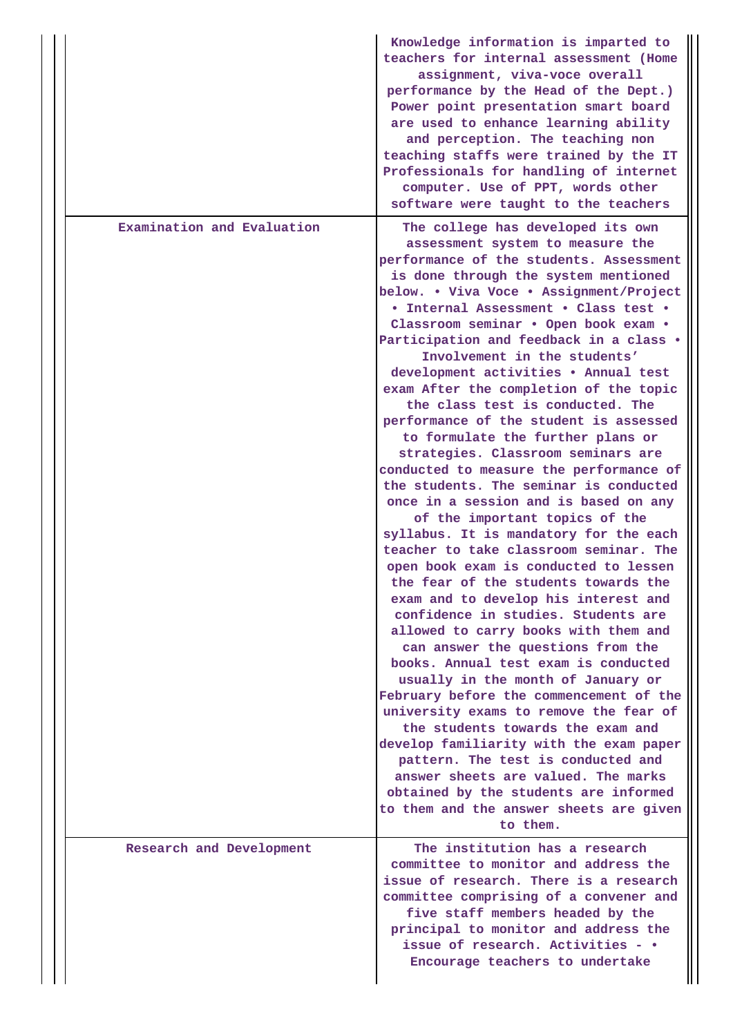|                            | Knowledge information is imparted to<br>teachers for internal assessment (Home<br>assignment, viva-voce overall<br>performance by the Head of the Dept.)<br>Power point presentation smart board<br>are used to enhance learning ability<br>and perception. The teaching non<br>teaching staffs were trained by the IT<br>Professionals for handling of internet<br>computer. Use of PPT, words other<br>software were taught to the teachers                                                                                                                                                                                                                                                                                                                                                                                                                                                                                                                                                                                                                                                                                                                                                                                                                                                                                                                                                       |
|----------------------------|-----------------------------------------------------------------------------------------------------------------------------------------------------------------------------------------------------------------------------------------------------------------------------------------------------------------------------------------------------------------------------------------------------------------------------------------------------------------------------------------------------------------------------------------------------------------------------------------------------------------------------------------------------------------------------------------------------------------------------------------------------------------------------------------------------------------------------------------------------------------------------------------------------------------------------------------------------------------------------------------------------------------------------------------------------------------------------------------------------------------------------------------------------------------------------------------------------------------------------------------------------------------------------------------------------------------------------------------------------------------------------------------------------|
| Examination and Evaluation | The college has developed its own<br>assessment system to measure the<br>performance of the students. Assessment<br>is done through the system mentioned<br>below. . Viva Voce . Assignment/Project<br>• Internal Assessment • Class test •<br>Classroom seminar . Open book exam .<br>Participation and feedback in a class .<br>Involvement in the students'<br>development activities . Annual test<br>exam After the completion of the topic<br>the class test is conducted. The<br>performance of the student is assessed<br>to formulate the further plans or<br>strategies. Classroom seminars are<br>conducted to measure the performance of<br>the students. The seminar is conducted<br>once in a session and is based on any<br>of the important topics of the<br>syllabus. It is mandatory for the each<br>teacher to take classroom seminar. The<br>open book exam is conducted to lessen<br>the fear of the students towards the<br>exam and to develop his interest and<br>confidence in studies. Students are<br>allowed to carry books with them and<br>can answer the questions from the<br>books. Annual test exam is conducted<br>usually in the month of January or<br>February before the commencement of the<br>university exams to remove the fear of<br>the students towards the exam and<br>develop familiarity with the exam paper<br>pattern. The test is conducted and |
|                            | answer sheets are valued. The marks<br>obtained by the students are informed<br>to them and the answer sheets are given<br>to them.                                                                                                                                                                                                                                                                                                                                                                                                                                                                                                                                                                                                                                                                                                                                                                                                                                                                                                                                                                                                                                                                                                                                                                                                                                                                 |
| Research and Development   | The institution has a research<br>committee to monitor and address the<br>issue of research. There is a research<br>committee comprising of a convener and<br>five staff members headed by the<br>principal to monitor and address the<br>issue of research. Activities - •<br>Encourage teachers to undertake                                                                                                                                                                                                                                                                                                                                                                                                                                                                                                                                                                                                                                                                                                                                                                                                                                                                                                                                                                                                                                                                                      |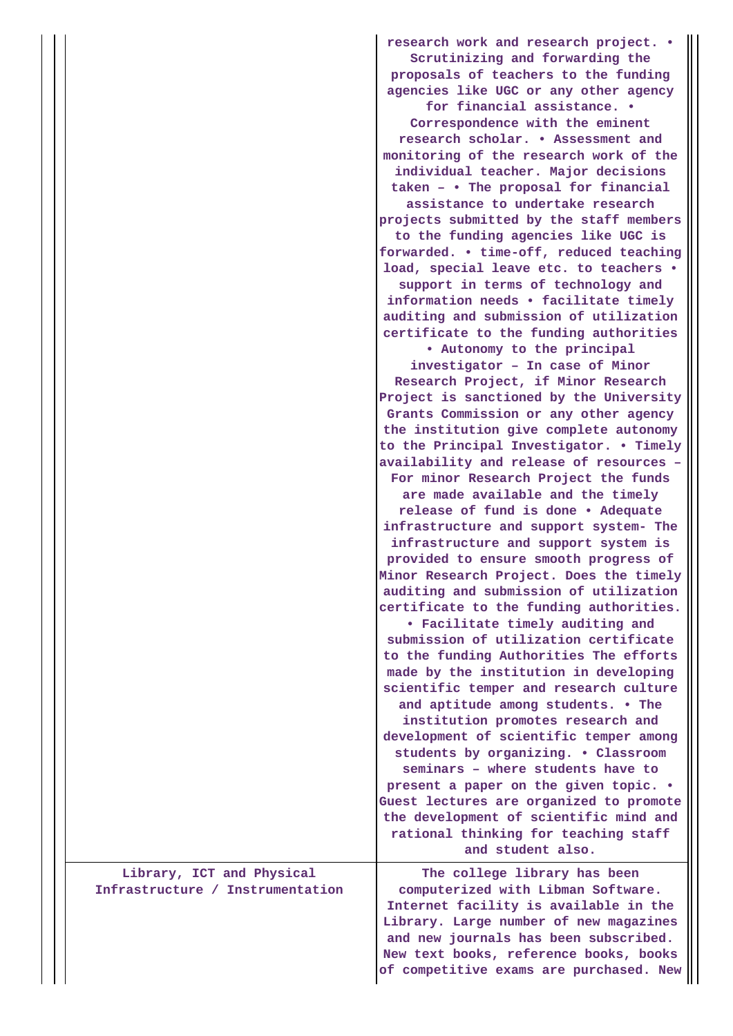|                                                               | research work and research project. .<br>Scrutinizing and forwarding the<br>proposals of teachers to the funding<br>agencies like UGC or any other agency<br>for financial assistance. .<br>Correspondence with the eminent<br>research scholar. . Assessment and<br>monitoring of the research work of the<br>individual teacher. Major decisions<br>taken - • The proposal for financial<br>assistance to undertake research<br>projects submitted by the staff members<br>to the funding agencies like UGC is<br>forwarded. . time-off, reduced teaching<br>load, special leave etc. to teachers .<br>support in terms of technology and<br>information needs • facilitate timely<br>auditing and submission of utilization<br>certificate to the funding authorities<br>. Autonomy to the principal<br>investigator - In case of Minor<br>Research Project, if Minor Research<br>Project is sanctioned by the University<br>Grants Commission or any other agency<br>the institution give complete autonomy<br>to the Principal Investigator. . Timely<br>availability and release of resources -<br>For minor Research Project the funds<br>are made available and the timely<br>release of fund is done . Adequate<br>infrastructure and support system- The<br>infrastructure and support system is<br>provided to ensure smooth progress of<br>Minor Research Project. Does the timely<br>auditing and submission of utilization<br>certificate to the funding authorities.<br>• Facilitate timely auditing and<br>submission of utilization certificate<br>to the funding Authorities The efforts<br>made by the institution in developing<br>scientific temper and research culture<br>and aptitude among students. . The<br>institution promotes research and<br>development of scientific temper among<br>students by organizing. . Classroom<br>seminars - where students have to |
|---------------------------------------------------------------|------------------------------------------------------------------------------------------------------------------------------------------------------------------------------------------------------------------------------------------------------------------------------------------------------------------------------------------------------------------------------------------------------------------------------------------------------------------------------------------------------------------------------------------------------------------------------------------------------------------------------------------------------------------------------------------------------------------------------------------------------------------------------------------------------------------------------------------------------------------------------------------------------------------------------------------------------------------------------------------------------------------------------------------------------------------------------------------------------------------------------------------------------------------------------------------------------------------------------------------------------------------------------------------------------------------------------------------------------------------------------------------------------------------------------------------------------------------------------------------------------------------------------------------------------------------------------------------------------------------------------------------------------------------------------------------------------------------------------------------------------------------------------------------------------------------------------------------------------------------------------------------------|
|                                                               | present a paper on the given topic. .<br>Guest lectures are organized to promote<br>the development of scientific mind and<br>rational thinking for teaching staff                                                                                                                                                                                                                                                                                                                                                                                                                                                                                                                                                                                                                                                                                                                                                                                                                                                                                                                                                                                                                                                                                                                                                                                                                                                                                                                                                                                                                                                                                                                                                                                                                                                                                                                             |
|                                                               | and student also.                                                                                                                                                                                                                                                                                                                                                                                                                                                                                                                                                                                                                                                                                                                                                                                                                                                                                                                                                                                                                                                                                                                                                                                                                                                                                                                                                                                                                                                                                                                                                                                                                                                                                                                                                                                                                                                                              |
| Library, ICT and Physical<br>Infrastructure / Instrumentation | The college library has been<br>computerized with Libman Software.<br>Internet facility is available in the<br>Library. Large number of new magazines<br>and new journals has been subscribed.<br>New text books, reference books, books                                                                                                                                                                                                                                                                                                                                                                                                                                                                                                                                                                                                                                                                                                                                                                                                                                                                                                                                                                                                                                                                                                                                                                                                                                                                                                                                                                                                                                                                                                                                                                                                                                                       |

**of competitive exams are purchased. New**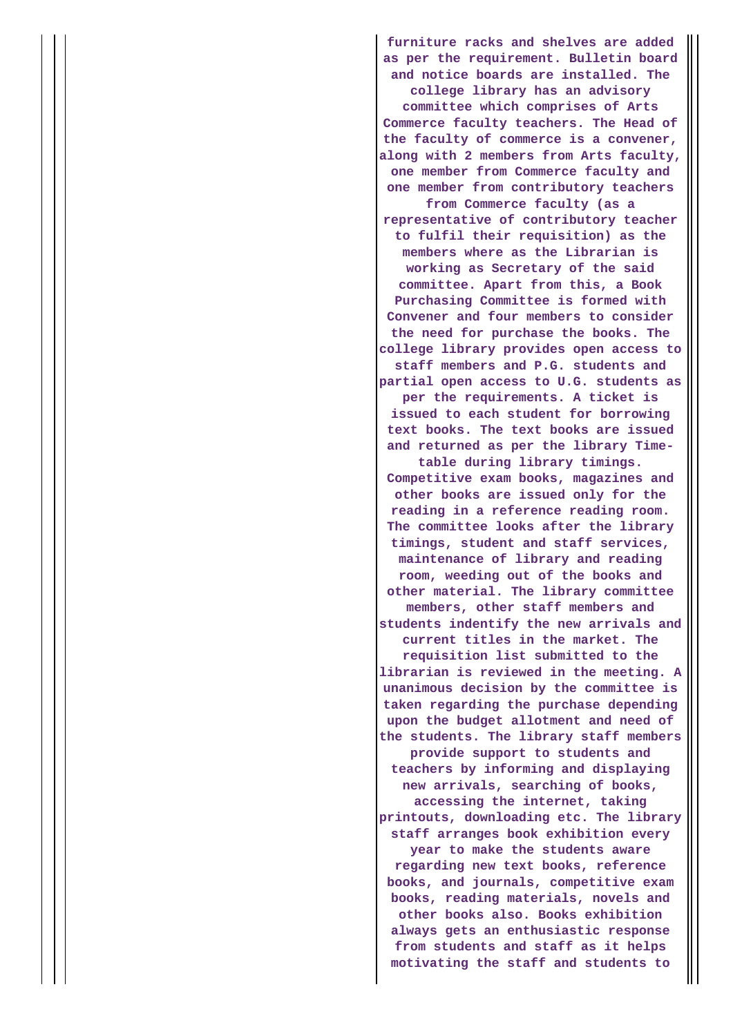**furniture racks and shelves are added as per the requirement. Bulletin board and notice boards are installed. The college library has an advisory committee which comprises of Arts Commerce faculty teachers. The Head of the faculty of commerce is a convener, along with 2 members from Arts faculty, one member from Commerce faculty and one member from contributory teachers from Commerce faculty (as a representative of contributory teacher to fulfil their requisition) as the members where as the Librarian is working as Secretary of the said committee. Apart from this, a Book Purchasing Committee is formed with Convener and four members to consider the need for purchase the books. The college library provides open access to staff members and P.G. students and partial open access to U.G. students as per the requirements. A ticket is issued to each student for borrowing text books. The text books are issued and returned as per the library Timetable during library timings. Competitive exam books, magazines and other books are issued only for the reading in a reference reading room. The committee looks after the library timings, student and staff services, maintenance of library and reading room, weeding out of the books and other material. The library committee members, other staff members and students indentify the new arrivals and current titles in the market. The requisition list submitted to the librarian is reviewed in the meeting. A unanimous decision by the committee is taken regarding the purchase depending upon the budget allotment and need of the students. The library staff members provide support to students and teachers by informing and displaying new arrivals, searching of books, accessing the internet, taking printouts, downloading etc. The library staff arranges book exhibition every year to make the students aware regarding new text books, reference books, and journals, competitive exam books, reading materials, novels and other books also. Books exhibition always gets an enthusiastic response from students and staff as it helps motivating the staff and students to**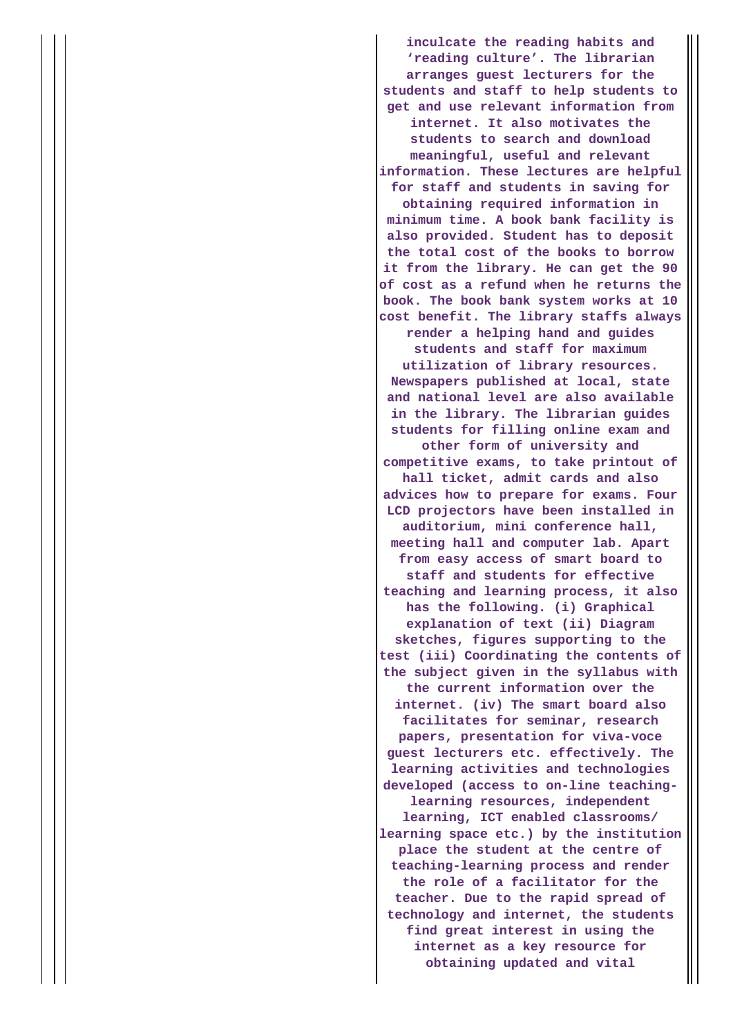**inculcate the reading habits and 'reading culture'. The librarian arranges guest lecturers for the students and staff to help students to get and use relevant information from internet. It also motivates the students to search and download meaningful, useful and relevant information. These lectures are helpful for staff and students in saving for obtaining required information in minimum time. A book bank facility is also provided. Student has to deposit the total cost of the books to borrow it from the library. He can get the 90 of cost as a refund when he returns the book. The book bank system works at 10 cost benefit. The library staffs always render a helping hand and guides students and staff for maximum utilization of library resources. Newspapers published at local, state and national level are also available in the library. The librarian guides students for filling online exam and other form of university and competitive exams, to take printout of hall ticket, admit cards and also advices how to prepare for exams. Four LCD projectors have been installed in auditorium, mini conference hall, meeting hall and computer lab. Apart from easy access of smart board to staff and students for effective teaching and learning process, it also has the following. (i) Graphical explanation of text (ii) Diagram sketches, figures supporting to the test (iii) Coordinating the contents of the subject given in the syllabus with the current information over the internet. (iv) The smart board also facilitates for seminar, research papers, presentation for viva-voce guest lecturers etc. effectively. The learning activities and technologies developed (access to on-line teachinglearning resources, independent learning, ICT enabled classrooms/ learning space etc.) by the institution place the student at the centre of teaching-learning process and render the role of a facilitator for the teacher. Due to the rapid spread of technology and internet, the students find great interest in using the internet as a key resource for obtaining updated and vital**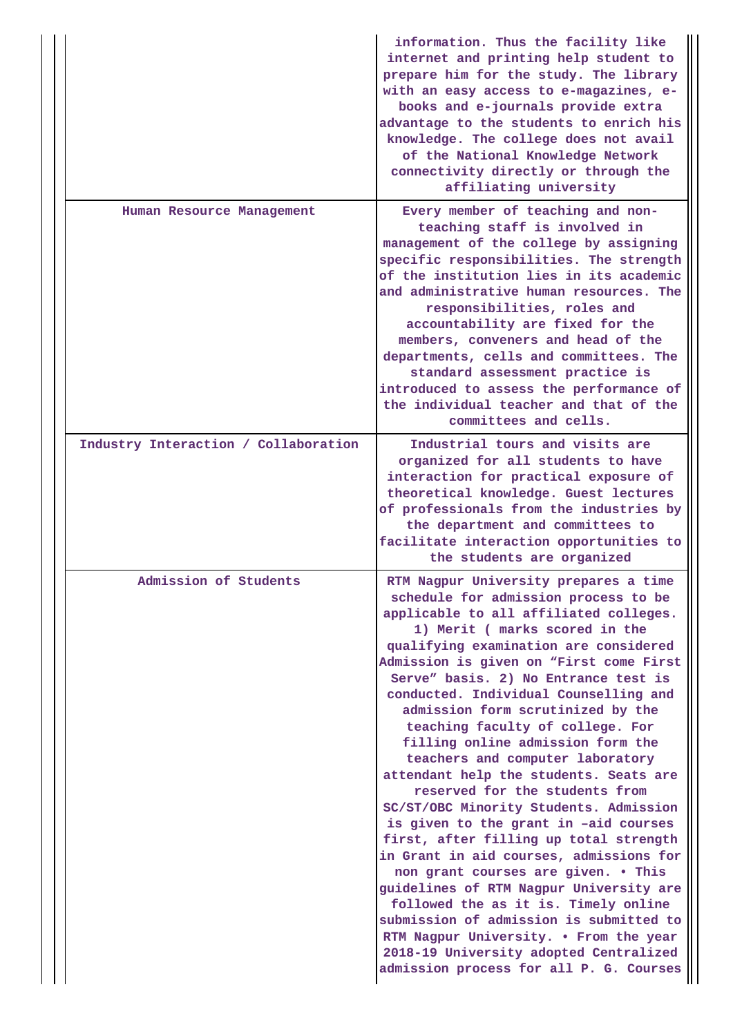|                                      | information. Thus the facility like<br>internet and printing help student to<br>prepare him for the study. The library<br>with an easy access to e-magazines, e-<br>books and e-journals provide extra<br>advantage to the students to enrich his<br>knowledge. The college does not avail<br>of the National Knowledge Network<br>connectivity directly or through the<br>affiliating university                                                                                                                                                                                                                                                                                                                                                                                                                                                                                                                                                                                                                                        |
|--------------------------------------|------------------------------------------------------------------------------------------------------------------------------------------------------------------------------------------------------------------------------------------------------------------------------------------------------------------------------------------------------------------------------------------------------------------------------------------------------------------------------------------------------------------------------------------------------------------------------------------------------------------------------------------------------------------------------------------------------------------------------------------------------------------------------------------------------------------------------------------------------------------------------------------------------------------------------------------------------------------------------------------------------------------------------------------|
| Human Resource Management            | Every member of teaching and non-<br>teaching staff is involved in<br>management of the college by assigning<br>specific responsibilities. The strength<br>of the institution lies in its academic<br>and administrative human resources. The<br>responsibilities, roles and<br>accountability are fixed for the<br>members, conveners and head of the<br>departments, cells and committees. The<br>standard assessment practice is<br>introduced to assess the performance of<br>the individual teacher and that of the<br>committees and cells.                                                                                                                                                                                                                                                                                                                                                                                                                                                                                        |
| Industry Interaction / Collaboration | Industrial tours and visits are<br>organized for all students to have<br>interaction for practical exposure of<br>theoretical knowledge. Guest lectures<br>of professionals from the industries by<br>the department and committees to<br>facilitate interaction opportunities to<br>the students are organized                                                                                                                                                                                                                                                                                                                                                                                                                                                                                                                                                                                                                                                                                                                          |
| Admission of Students                | RTM Nagpur University prepares a time<br>schedule for admission process to be<br>applicable to all affiliated colleges.<br>1) Merit ( marks scored in the<br>qualifying examination are considered<br>Admission is given on "First come First<br>Serve" basis. 2) No Entrance test is<br>conducted. Individual Counselling and<br>admission form scrutinized by the<br>teaching faculty of college. For<br>filling online admission form the<br>teachers and computer laboratory<br>attendant help the students. Seats are<br>reserved for the students from<br>SC/ST/OBC Minority Students. Admission<br>is given to the grant in -aid courses<br>first, after filling up total strength<br>in Grant in aid courses, admissions for<br>non grant courses are given. . This<br>guidelines of RTM Nagpur University are<br>followed the as it is. Timely online<br>submission of admission is submitted to<br>RTM Nagpur University. . From the year<br>2018-19 University adopted Centralized<br>admission process for all P. G. Courses |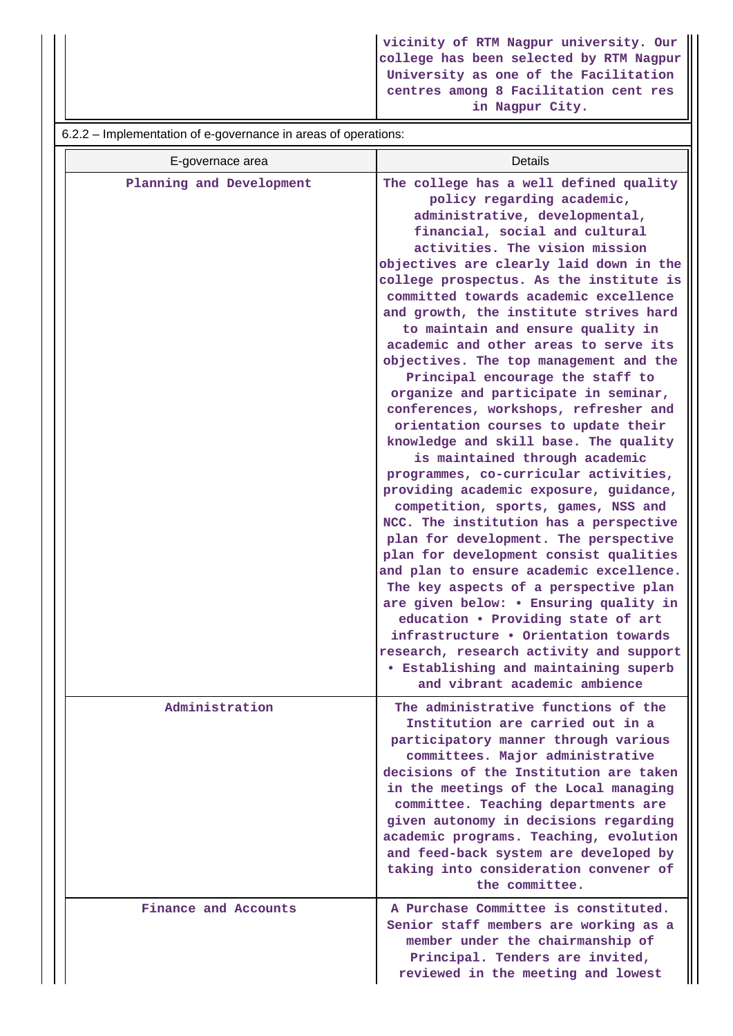**vicinity of RTM Nagpur university. Our college has been selected by RTM Nagpur University as one of the Facilitation centres among 8 Facilitation cent res in Nagpur City.**

6.2.2 – Implementation of e-governance in areas of operations:

| E-governace area         | Details                                                                                                                                                                                                                                                                                                                                                                                                                                                                                                                                                                                                                                                                                                                                                                                                                                                                                                                                                                                                                                                                                                                                                                                                                                                                                                    |
|--------------------------|------------------------------------------------------------------------------------------------------------------------------------------------------------------------------------------------------------------------------------------------------------------------------------------------------------------------------------------------------------------------------------------------------------------------------------------------------------------------------------------------------------------------------------------------------------------------------------------------------------------------------------------------------------------------------------------------------------------------------------------------------------------------------------------------------------------------------------------------------------------------------------------------------------------------------------------------------------------------------------------------------------------------------------------------------------------------------------------------------------------------------------------------------------------------------------------------------------------------------------------------------------------------------------------------------------|
| Planning and Development | The college has a well defined quality<br>policy regarding academic,<br>administrative, developmental,<br>financial, social and cultural<br>activities. The vision mission<br>objectives are clearly laid down in the<br>college prospectus. As the institute is<br>committed towards academic excellence<br>and growth, the institute strives hard<br>to maintain and ensure quality in<br>academic and other areas to serve its<br>objectives. The top management and the<br>Principal encourage the staff to<br>organize and participate in seminar,<br>conferences, workshops, refresher and<br>orientation courses to update their<br>knowledge and skill base. The quality<br>is maintained through academic<br>programmes, co-curricular activities,<br>providing academic exposure, guidance,<br>competition, sports, games, NSS and<br>NCC. The institution has a perspective<br>plan for development. The perspective<br>plan for development consist qualities<br>and plan to ensure academic excellence.<br>The key aspects of a perspective plan<br>are given below: . Ensuring quality in<br>education . Providing state of art<br>infrastructure . Orientation towards<br>research, research activity and support<br>• Establishing and maintaining superb<br>and vibrant academic ambience |
| Administration           | The administrative functions of the<br>Institution are carried out in a<br>participatory manner through various<br>committees. Major administrative<br>decisions of the Institution are taken<br>in the meetings of the Local managing<br>committee. Teaching departments are<br>given autonomy in decisions regarding<br>academic programs. Teaching, evolution<br>and feed-back system are developed by<br>taking into consideration convener of<br>the committee.                                                                                                                                                                                                                                                                                                                                                                                                                                                                                                                                                                                                                                                                                                                                                                                                                                       |
| Finance and Accounts     | A Purchase Committee is constituted.<br>Senior staff members are working as a<br>member under the chairmanship of<br>Principal. Tenders are invited,<br>reviewed in the meeting and lowest                                                                                                                                                                                                                                                                                                                                                                                                                                                                                                                                                                                                                                                                                                                                                                                                                                                                                                                                                                                                                                                                                                                 |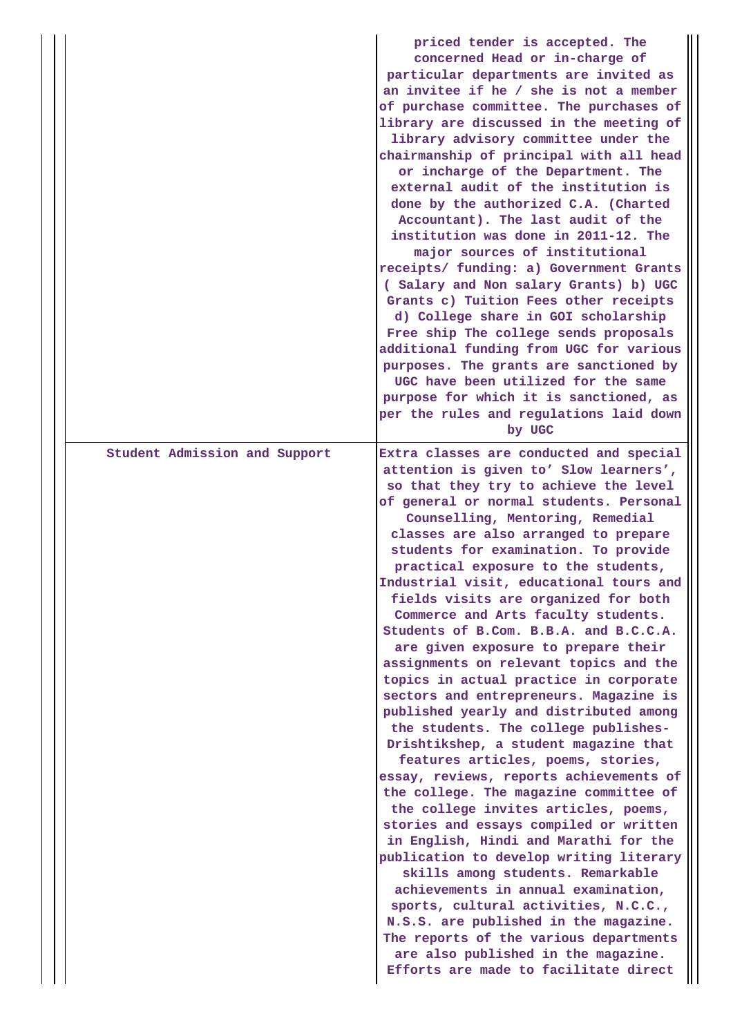|                               | priced tender is accepted. The<br>concerned Head or in-charge of<br>particular departments are invited as<br>an invitee if he / she is not a member<br>of purchase committee. The purchases of<br>library are discussed in the meeting of<br>library advisory committee under the<br>chairmanship of principal with all head<br>or incharge of the Department. The<br>external audit of the institution is<br>done by the authorized C.A. (Charted<br>Accountant). The last audit of the<br>institution was done in 2011-12. The<br>major sources of institutional<br>receipts/ funding: a) Government Grants<br>( Salary and Non salary Grants) b) UGC<br>Grants c) Tuition Fees other receipts<br>d) College share in GOI scholarship<br>Free ship The college sends proposals<br>additional funding from UGC for various<br>purposes. The grants are sanctioned by<br>UGC have been utilized for the same<br>purpose for which it is sanctioned, as<br>per the rules and regulations laid down<br>by UGC                                                                                                                                                                                                                                                                                                                                                                                  |
|-------------------------------|----------------------------------------------------------------------------------------------------------------------------------------------------------------------------------------------------------------------------------------------------------------------------------------------------------------------------------------------------------------------------------------------------------------------------------------------------------------------------------------------------------------------------------------------------------------------------------------------------------------------------------------------------------------------------------------------------------------------------------------------------------------------------------------------------------------------------------------------------------------------------------------------------------------------------------------------------------------------------------------------------------------------------------------------------------------------------------------------------------------------------------------------------------------------------------------------------------------------------------------------------------------------------------------------------------------------------------------------------------------------------------------------|
| Student Admission and Support | Extra classes are conducted and special<br>attention is given to' Slow learners',<br>so that they try to achieve the level<br>of general or normal students. Personal<br>Counselling, Mentoring, Remedial<br>classes are also arranged to prepare<br>students for examination. To provide<br>practical exposure to the students,<br>Industrial visit, educational tours and<br>fields visits are organized for both<br>Commerce and Arts faculty students.<br>Students of B.Com. B.B.A. and B.C.C.A.<br>are given exposure to prepare their<br>assignments on relevant topics and the<br>topics in actual practice in corporate<br>sectors and entrepreneurs. Magazine is<br>published yearly and distributed among<br>the students. The college publishes-<br>Drishtikshep, a student magazine that<br>features articles, poems, stories,<br>essay, reviews, reports achievements of<br>the college. The magazine committee of<br>the college invites articles, poems,<br>stories and essays compiled or written<br>in English, Hindi and Marathi for the<br>publication to develop writing literary<br>skills among students. Remarkable<br>achievements in annual examination,<br>sports, cultural activities, N.C.C.,<br>N.S.S. are published in the magazine.<br>The reports of the various departments<br>are also published in the magazine.<br>Efforts are made to facilitate direct |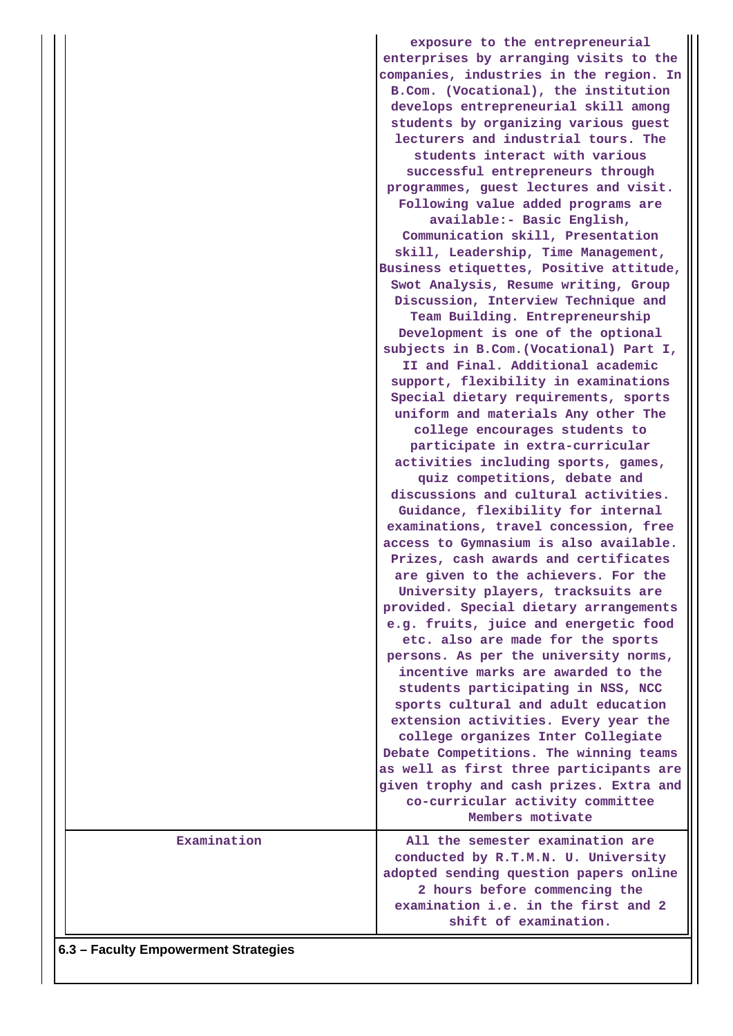|             | exposure to the entrepreneurial<br>enterprises by arranging visits to the<br>companies, industries in the region. In<br>B.Com. (Vocational), the institution<br>develops entrepreneurial skill among<br>students by organizing various guest<br>lecturers and industrial tours. The<br>students interact with various<br>successful entrepreneurs through<br>programmes, guest lectures and visit.<br>Following value added programs are<br>available:- Basic English,<br>Communication skill, Presentation<br>skill, Leadership, Time Management,<br>Business etiquettes, Positive attitude,<br>Swot Analysis, Resume writing, Group<br>Discussion, Interview Technique and<br>Team Building. Entrepreneurship<br>Development is one of the optional<br>subjects in B.Com. (Vocational) Part I,<br>II and Final. Additional academic<br>support, flexibility in examinations<br>Special dietary requirements, sports<br>uniform and materials Any other The<br>college encourages students to<br>participate in extra-curricular<br>activities including sports, games,<br>quiz competitions, debate and<br>discussions and cultural activities.<br>Guidance, flexibility for internal<br>examinations, travel concession, free<br>access to Gymnasium is also available.<br>Prizes, cash awards and certificates<br>are given to the achievers. For the<br>University players, tracksuits are<br>provided. Special dietary arrangements<br>e.g. fruits, juice and energetic food<br>etc. also are made for the sports<br>persons. As per the university norms,<br>incentive marks are awarded to the<br>students participating in NSS, NCC<br>sports cultural and adult education<br>extension activities. Every year the<br>college organizes Inter Collegiate<br>Debate Competitions. The winning teams<br>as well as first three participants are<br>given trophy and cash prizes. Extra and |
|-------------|---------------------------------------------------------------------------------------------------------------------------------------------------------------------------------------------------------------------------------------------------------------------------------------------------------------------------------------------------------------------------------------------------------------------------------------------------------------------------------------------------------------------------------------------------------------------------------------------------------------------------------------------------------------------------------------------------------------------------------------------------------------------------------------------------------------------------------------------------------------------------------------------------------------------------------------------------------------------------------------------------------------------------------------------------------------------------------------------------------------------------------------------------------------------------------------------------------------------------------------------------------------------------------------------------------------------------------------------------------------------------------------------------------------------------------------------------------------------------------------------------------------------------------------------------------------------------------------------------------------------------------------------------------------------------------------------------------------------------------------------------------------------------------------------------------------------------------------------------------------------------------------------------|
|             | co-curricular activity committee<br>Members motivate                                                                                                                                                                                                                                                                                                                                                                                                                                                                                                                                                                                                                                                                                                                                                                                                                                                                                                                                                                                                                                                                                                                                                                                                                                                                                                                                                                                                                                                                                                                                                                                                                                                                                                                                                                                                                                              |
| Examination | All the semester examination are<br>conducted by R.T.M.N. U. University<br>adopted sending question papers online<br>2 hours before commencing the<br>examination i.e. in the first and 2<br>shift of examination.                                                                                                                                                                                                                                                                                                                                                                                                                                                                                                                                                                                                                                                                                                                                                                                                                                                                                                                                                                                                                                                                                                                                                                                                                                                                                                                                                                                                                                                                                                                                                                                                                                                                                |

**6.3 – Faculty Empowerment Strategies**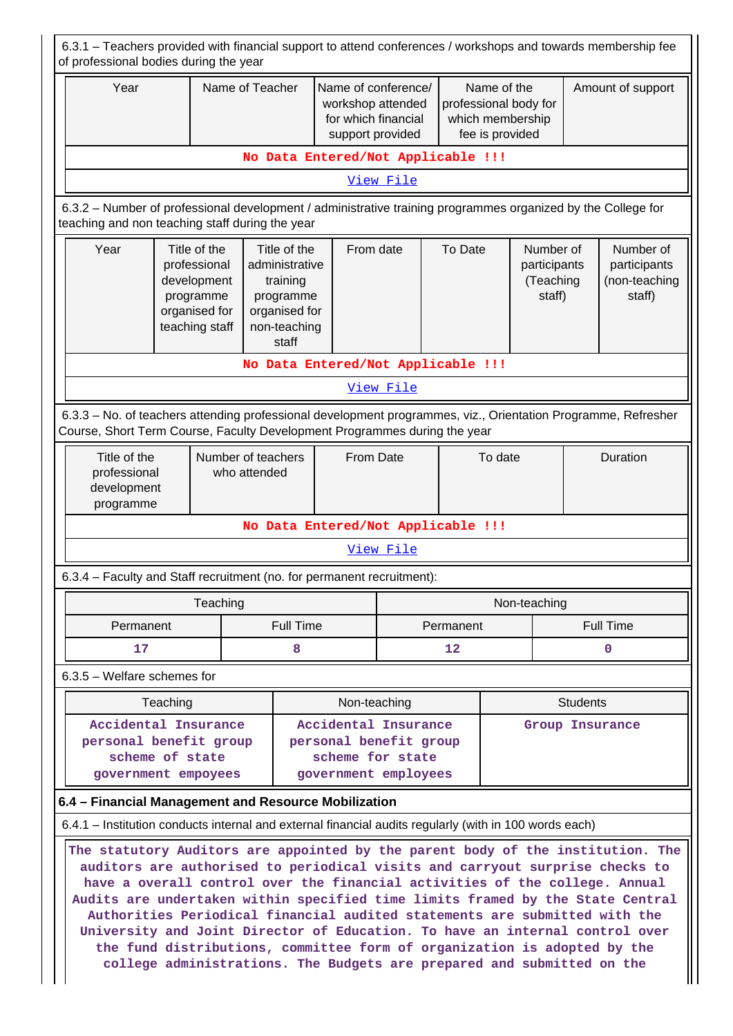| 6.3.1 – Teachers provided with financial support to attend conferences / workshops and towards membership fee<br>of professional bodies during the year                                                                                                                                                                                                                                                                                                                                                                                                                                                                                              |                                                                                                                                                                                        |                                                                                             |  |                                                |                                                                                     |           |                 |                                                                             |                                                  |                   |                                                      |
|------------------------------------------------------------------------------------------------------------------------------------------------------------------------------------------------------------------------------------------------------------------------------------------------------------------------------------------------------------------------------------------------------------------------------------------------------------------------------------------------------------------------------------------------------------------------------------------------------------------------------------------------------|----------------------------------------------------------------------------------------------------------------------------------------------------------------------------------------|---------------------------------------------------------------------------------------------|--|------------------------------------------------|-------------------------------------------------------------------------------------|-----------|-----------------|-----------------------------------------------------------------------------|--------------------------------------------------|-------------------|------------------------------------------------------|
| Year                                                                                                                                                                                                                                                                                                                                                                                                                                                                                                                                                                                                                                                 |                                                                                                                                                                                        | Name of Teacher                                                                             |  |                                                | Name of conference/<br>workshop attended<br>for which financial<br>support provided |           |                 | Name of the<br>professional body for<br>which membership<br>fee is provided |                                                  | Amount of support |                                                      |
| No Data Entered/Not Applicable !!!                                                                                                                                                                                                                                                                                                                                                                                                                                                                                                                                                                                                                   |                                                                                                                                                                                        |                                                                                             |  |                                                |                                                                                     |           |                 |                                                                             |                                                  |                   |                                                      |
| View File                                                                                                                                                                                                                                                                                                                                                                                                                                                                                                                                                                                                                                            |                                                                                                                                                                                        |                                                                                             |  |                                                |                                                                                     |           |                 |                                                                             |                                                  |                   |                                                      |
| 6.3.2 – Number of professional development / administrative training programmes organized by the College for<br>teaching and non teaching staff during the year                                                                                                                                                                                                                                                                                                                                                                                                                                                                                      |                                                                                                                                                                                        |                                                                                             |  |                                                |                                                                                     |           |                 |                                                                             |                                                  |                   |                                                      |
| Year                                                                                                                                                                                                                                                                                                                                                                                                                                                                                                                                                                                                                                                 |                                                                                                                                                                                        | Title of the<br>professional<br>development<br>programme<br>organised for<br>teaching staff |  | Title of the<br>training<br>programme<br>staff | From date<br>administrative<br>organised for<br>non-teaching                        |           | To Date         |                                                                             | Number of<br>participants<br>(Teaching<br>staff) |                   | Number of<br>participants<br>(non-teaching<br>staff) |
|                                                                                                                                                                                                                                                                                                                                                                                                                                                                                                                                                                                                                                                      | No Data Entered/Not Applicable !!!                                                                                                                                                     |                                                                                             |  |                                                |                                                                                     |           |                 |                                                                             |                                                  |                   |                                                      |
|                                                                                                                                                                                                                                                                                                                                                                                                                                                                                                                                                                                                                                                      | View File                                                                                                                                                                              |                                                                                             |  |                                                |                                                                                     |           |                 |                                                                             |                                                  |                   |                                                      |
| 6.3.3 - No. of teachers attending professional development programmes, viz., Orientation Programme, Refresher<br>Course, Short Term Course, Faculty Development Programmes during the year                                                                                                                                                                                                                                                                                                                                                                                                                                                           |                                                                                                                                                                                        |                                                                                             |  |                                                |                                                                                     |           |                 |                                                                             |                                                  |                   |                                                      |
| Title of the<br>professional<br>development<br>programme                                                                                                                                                                                                                                                                                                                                                                                                                                                                                                                                                                                             | Number of teachers<br>who attended                                                                                                                                                     |                                                                                             |  | From Date                                      |                                                                                     | To date   |                 |                                                                             | Duration                                         |                   |                                                      |
|                                                                                                                                                                                                                                                                                                                                                                                                                                                                                                                                                                                                                                                      |                                                                                                                                                                                        |                                                                                             |  |                                                | No Data Entered/Not Applicable !!!                                                  |           |                 |                                                                             |                                                  |                   |                                                      |
|                                                                                                                                                                                                                                                                                                                                                                                                                                                                                                                                                                                                                                                      |                                                                                                                                                                                        |                                                                                             |  |                                                |                                                                                     | View File |                 |                                                                             |                                                  |                   |                                                      |
| 6.3.4 – Faculty and Staff recruitment (no. for permanent recruitment):                                                                                                                                                                                                                                                                                                                                                                                                                                                                                                                                                                               |                                                                                                                                                                                        |                                                                                             |  |                                                |                                                                                     |           |                 |                                                                             |                                                  |                   |                                                      |
|                                                                                                                                                                                                                                                                                                                                                                                                                                                                                                                                                                                                                                                      |                                                                                                                                                                                        | Teaching                                                                                    |  |                                                |                                                                                     |           |                 |                                                                             | Non-teaching                                     |                   |                                                      |
| Permanent                                                                                                                                                                                                                                                                                                                                                                                                                                                                                                                                                                                                                                            |                                                                                                                                                                                        |                                                                                             |  | <b>Full Time</b>                               |                                                                                     |           | Permanent       |                                                                             |                                                  |                   | <b>Full Time</b>                                     |
| 17                                                                                                                                                                                                                                                                                                                                                                                                                                                                                                                                                                                                                                                   |                                                                                                                                                                                        |                                                                                             |  | 8                                              |                                                                                     |           | 12              |                                                                             |                                                  | $\mathbf 0$       |                                                      |
| 6.3.5 - Welfare schemes for                                                                                                                                                                                                                                                                                                                                                                                                                                                                                                                                                                                                                          |                                                                                                                                                                                        |                                                                                             |  |                                                |                                                                                     |           |                 |                                                                             |                                                  |                   |                                                      |
|                                                                                                                                                                                                                                                                                                                                                                                                                                                                                                                                                                                                                                                      | Teaching                                                                                                                                                                               |                                                                                             |  |                                                | Non-teaching                                                                        |           |                 |                                                                             |                                                  | <b>Students</b>   |                                                      |
|                                                                                                                                                                                                                                                                                                                                                                                                                                                                                                                                                                                                                                                      | Accidental Insurance<br>Accidental Insurance<br>personal benefit group<br>personal benefit group<br>scheme of state<br>scheme for state<br>government employees<br>government empoyees |                                                                                             |  |                                                |                                                                                     |           | Group Insurance |                                                                             |                                                  |                   |                                                      |
| 6.4 - Financial Management and Resource Mobilization                                                                                                                                                                                                                                                                                                                                                                                                                                                                                                                                                                                                 |                                                                                                                                                                                        |                                                                                             |  |                                                |                                                                                     |           |                 |                                                                             |                                                  |                   |                                                      |
| 6.4.1 – Institution conducts internal and external financial audits regularly (with in 100 words each)                                                                                                                                                                                                                                                                                                                                                                                                                                                                                                                                               |                                                                                                                                                                                        |                                                                                             |  |                                                |                                                                                     |           |                 |                                                                             |                                                  |                   |                                                      |
| The statutory Auditors are appointed by the parent body of the institution. The<br>auditors are authorised to periodical visits and carryout surprise checks to<br>have a overall control over the financial activities of the college. Annual<br>Audits are undertaken within specified time limits framed by the State Central<br>Authorities Periodical financial audited statements are submitted with the<br>University and Joint Director of Education. To have an internal control over<br>the fund distributions, committee form of organization is adopted by the<br>college administrations. The Budgets are prepared and submitted on the |                                                                                                                                                                                        |                                                                                             |  |                                                |                                                                                     |           |                 |                                                                             |                                                  |                   |                                                      |

 $\mathbb{H}$ 

 $\prod$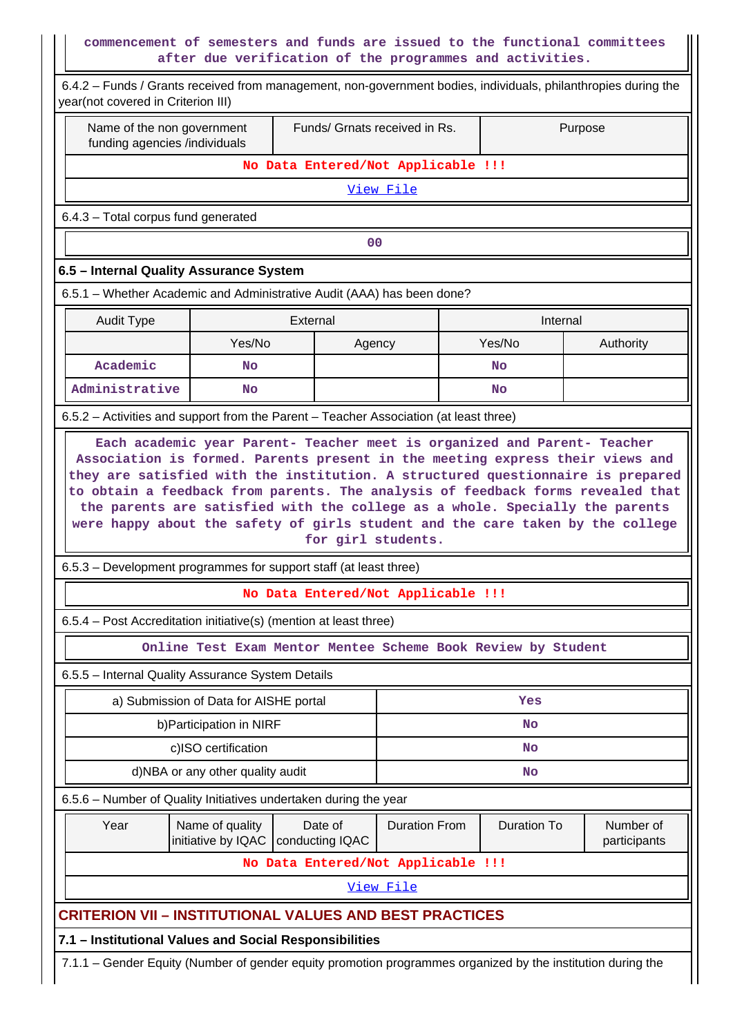## **commencement of semesters and funds are issued to the functional committees after due verification of the programmes and activities.**

| commencement of semesters and funds are issued to the functional committees                                                                          | after due verification of the programmes and activities.           |          |                |                                                          |                      |                    |                           |  |
|------------------------------------------------------------------------------------------------------------------------------------------------------|--------------------------------------------------------------------|----------|----------------|----------------------------------------------------------|----------------------|--------------------|---------------------------|--|
| 6.4.2 - Funds / Grants received from management, non-government bodies, individuals, philanthropies during the<br>year(not covered in Criterion III) |                                                                    |          |                |                                                          |                      |                    |                           |  |
| Name of the non government<br>funding agencies /individuals                                                                                          | Funds/ Grnats received in Rs.                                      |          | Purpose        |                                                          |                      |                    |                           |  |
|                                                                                                                                                      |                                                                    |          |                | No Data Entered/Not Applicable !!!                       |                      |                    |                           |  |
|                                                                                                                                                      |                                                                    |          |                | View File                                                |                      |                    |                           |  |
| 6.4.3 - Total corpus fund generated                                                                                                                  |                                                                    |          |                |                                                          |                      |                    |                           |  |
|                                                                                                                                                      |                                                                    |          | 0 <sup>0</sup> |                                                          |                      |                    |                           |  |
| 6.5 - Internal Quality Assurance System                                                                                                              |                                                                    |          |                |                                                          |                      |                    |                           |  |
| 6.5.1 – Whether Academic and Administrative Audit (AAA) has been done?                                                                               |                                                                    |          |                |                                                          |                      |                    |                           |  |
| <b>Audit Type</b>                                                                                                                                    |                                                                    | External |                |                                                          |                      | Internal           |                           |  |
|                                                                                                                                                      | Yes/No                                                             |          | Agency         |                                                          |                      | Yes/No             | Authority                 |  |
| Academic                                                                                                                                             | <b>No</b>                                                          |          |                |                                                          |                      | No                 |                           |  |
| Administrative                                                                                                                                       | No.                                                                |          |                |                                                          |                      | <b>No</b>          |                           |  |
| 6.5.2 - Activities and support from the Parent - Teacher Association (at least three)                                                                |                                                                    |          |                |                                                          |                      |                    |                           |  |
| were happy about the safety of girls student and the care taken by the college<br>6.5.3 – Development programmes for support staff (at least three)  |                                                                    |          |                | for girl students.<br>No Data Entered/Not Applicable !!! |                      |                    |                           |  |
| 6.5.4 – Post Accreditation initiative(s) (mention at least three)                                                                                    |                                                                    |          |                |                                                          |                      |                    |                           |  |
|                                                                                                                                                      | Online Test Exam Mentor Mentee Scheme Book Review by Student       |          |                |                                                          |                      |                    |                           |  |
| 6.5.5 - Internal Quality Assurance System Details                                                                                                    |                                                                    |          |                |                                                          |                      |                    |                           |  |
| a) Submission of Data for AISHE portal                                                                                                               | Yes                                                                |          |                |                                                          |                      |                    |                           |  |
|                                                                                                                                                      | b) Participation in NIRF                                           |          |                | No                                                       |                      |                    |                           |  |
| c)ISO certification                                                                                                                                  | <b>No</b>                                                          |          |                |                                                          |                      |                    |                           |  |
| d)NBA or any other quality audit                                                                                                                     | <b>No</b>                                                          |          |                |                                                          |                      |                    |                           |  |
| 6.5.6 - Number of Quality Initiatives undertaken during the year                                                                                     |                                                                    |          |                |                                                          |                      |                    |                           |  |
| Year                                                                                                                                                 | Name of quality<br>Date of<br>initiative by IQAC   conducting IQAC |          |                |                                                          | <b>Duration From</b> | <b>Duration To</b> | Number of<br>participants |  |
|                                                                                                                                                      |                                                                    |          |                | No Data Entered/Not Applicable !!!                       |                      |                    |                           |  |
|                                                                                                                                                      |                                                                    |          |                | <u>View File</u>                                         |                      |                    |                           |  |
| <b>CRITERION VII - INSTITUTIONAL VALUES AND BEST PRACTICES</b>                                                                                       |                                                                    |          |                |                                                          |                      |                    |                           |  |
| 7.1 - Institutional Values and Social Responsibilities                                                                                               |                                                                    |          |                |                                                          |                      |                    |                           |  |
| 7.1.1 - Gender Equity (Number of gender equity promotion programmes organized by the institution during the                                          |                                                                    |          |                |                                                          |                      |                    |                           |  |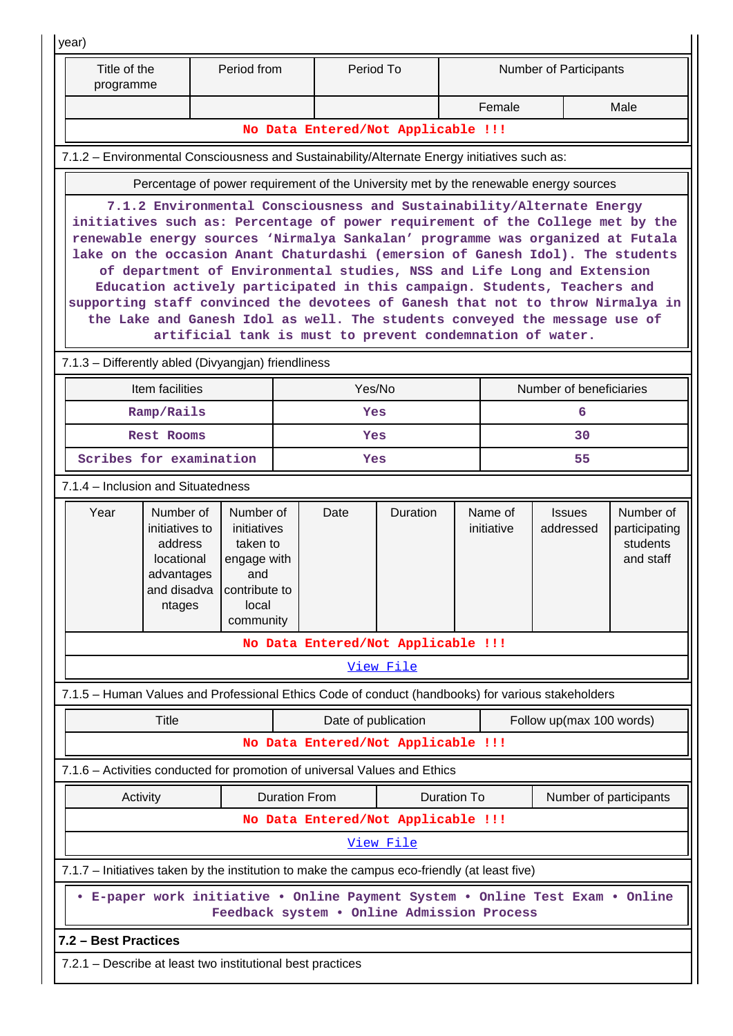| year)                                                                                             |                                                                              |           |                                                                                                          |                                     |                                                           |                         |                       |                                                                                                                                                                                                                                                                                                                                                                                                                                                                                                                                                                                                                                                     |                                                     |  |  |
|---------------------------------------------------------------------------------------------------|------------------------------------------------------------------------------|-----------|----------------------------------------------------------------------------------------------------------|-------------------------------------|-----------------------------------------------------------|-------------------------|-----------------------|-----------------------------------------------------------------------------------------------------------------------------------------------------------------------------------------------------------------------------------------------------------------------------------------------------------------------------------------------------------------------------------------------------------------------------------------------------------------------------------------------------------------------------------------------------------------------------------------------------------------------------------------------------|-----------------------------------------------------|--|--|
| Title of the<br>programme                                                                         |                                                                              | Period To |                                                                                                          |                                     |                                                           | Number of Participants  |                       |                                                                                                                                                                                                                                                                                                                                                                                                                                                                                                                                                                                                                                                     |                                                     |  |  |
|                                                                                                   |                                                                              |           |                                                                                                          |                                     |                                                           |                         | Female                |                                                                                                                                                                                                                                                                                                                                                                                                                                                                                                                                                                                                                                                     | Male                                                |  |  |
| No Data Entered/Not Applicable !!!                                                                |                                                                              |           |                                                                                                          |                                     |                                                           |                         |                       |                                                                                                                                                                                                                                                                                                                                                                                                                                                                                                                                                                                                                                                     |                                                     |  |  |
| 7.1.2 – Environmental Consciousness and Sustainability/Alternate Energy initiatives such as:      |                                                                              |           |                                                                                                          |                                     |                                                           |                         |                       |                                                                                                                                                                                                                                                                                                                                                                                                                                                                                                                                                                                                                                                     |                                                     |  |  |
|                                                                                                   |                                                                              |           |                                                                                                          |                                     |                                                           |                         |                       | Percentage of power requirement of the University met by the renewable energy sources                                                                                                                                                                                                                                                                                                                                                                                                                                                                                                                                                               |                                                     |  |  |
|                                                                                                   |                                                                              |           |                                                                                                          |                                     | artificial tank is must to prevent condemnation of water. |                         |                       | 7.1.2 Environmental Consciousness and Sustainability/Alternate Energy<br>initiatives such as: Percentage of power requirement of the College met by the<br>renewable energy sources 'Nirmalya Sankalan' programme was organized at Futala<br>lake on the occasion Anant Chaturdashi (emersion of Ganesh Idol). The students<br>of department of Environmental studies, NSS and Life Long and Extension<br>Education actively participated in this campaign. Students, Teachers and<br>supporting staff convinced the devotees of Ganesh that not to throw Nirmalya in<br>the Lake and Ganesh Idol as well. The students conveyed the message use of |                                                     |  |  |
| 7.1.3 - Differently abled (Divyangjan) friendliness                                               |                                                                              |           |                                                                                                          |                                     |                                                           |                         |                       |                                                                                                                                                                                                                                                                                                                                                                                                                                                                                                                                                                                                                                                     |                                                     |  |  |
|                                                                                                   | Item facilities                                                              |           |                                                                                                          | Yes/No                              |                                                           | Number of beneficiaries |                       |                                                                                                                                                                                                                                                                                                                                                                                                                                                                                                                                                                                                                                                     |                                                     |  |  |
|                                                                                                   | Ramp/Rails                                                                   |           |                                                                                                          | Yes                                 |                                                           |                         | 6                     |                                                                                                                                                                                                                                                                                                                                                                                                                                                                                                                                                                                                                                                     |                                                     |  |  |
|                                                                                                   | <b>Rest Rooms</b>                                                            |           |                                                                                                          | Yes                                 |                                                           | 30                      |                       |                                                                                                                                                                                                                                                                                                                                                                                                                                                                                                                                                                                                                                                     |                                                     |  |  |
|                                                                                                   | Scribes for examination                                                      |           |                                                                                                          | Yes                                 |                                                           | 55                      |                       |                                                                                                                                                                                                                                                                                                                                                                                                                                                                                                                                                                                                                                                     |                                                     |  |  |
| 7.1.4 – Inclusion and Situatedness                                                                |                                                                              |           |                                                                                                          |                                     |                                                           |                         |                       |                                                                                                                                                                                                                                                                                                                                                                                                                                                                                                                                                                                                                                                     |                                                     |  |  |
| Year                                                                                              | Number of<br>initiatives to<br>address<br>locational<br>advantages<br>ntages | and       | Number of<br>initiatives<br>taken to<br>engage with<br>and disadva   contribute to<br>local<br>community |                                     | <b>Duration</b>                                           |                         | Name of<br>initiative | <b>Issues</b><br>addressed                                                                                                                                                                                                                                                                                                                                                                                                                                                                                                                                                                                                                          | Number of<br>participating<br>students<br>and staff |  |  |
|                                                                                                   |                                                                              |           |                                                                                                          |                                     | No Data Entered/Not Applicable !!!                        |                         |                       |                                                                                                                                                                                                                                                                                                                                                                                                                                                                                                                                                                                                                                                     |                                                     |  |  |
|                                                                                                   |                                                                              |           |                                                                                                          |                                     | View File                                                 |                         |                       |                                                                                                                                                                                                                                                                                                                                                                                                                                                                                                                                                                                                                                                     |                                                     |  |  |
| 7.1.5 - Human Values and Professional Ethics Code of conduct (handbooks) for various stakeholders |                                                                              |           |                                                                                                          |                                     |                                                           |                         |                       |                                                                                                                                                                                                                                                                                                                                                                                                                                                                                                                                                                                                                                                     |                                                     |  |  |
| <b>Title</b><br>Date of publication<br>Follow up(max 100 words)                                   |                                                                              |           |                                                                                                          |                                     |                                                           |                         |                       |                                                                                                                                                                                                                                                                                                                                                                                                                                                                                                                                                                                                                                                     |                                                     |  |  |
|                                                                                                   |                                                                              |           |                                                                                                          |                                     | No Data Entered/Not Applicable !!!                        |                         |                       |                                                                                                                                                                                                                                                                                                                                                                                                                                                                                                                                                                                                                                                     |                                                     |  |  |
| 7.1.6 - Activities conducted for promotion of universal Values and Ethics                         |                                                                              |           |                                                                                                          |                                     |                                                           |                         |                       |                                                                                                                                                                                                                                                                                                                                                                                                                                                                                                                                                                                                                                                     |                                                     |  |  |
|                                                                                                   | Activity                                                                     |           |                                                                                                          | <b>Duration From</b><br>Duration To |                                                           |                         |                       | Number of participants                                                                                                                                                                                                                                                                                                                                                                                                                                                                                                                                                                                                                              |                                                     |  |  |
|                                                                                                   | No Data Entered/Not Applicable !!!                                           |           |                                                                                                          |                                     |                                                           |                         |                       |                                                                                                                                                                                                                                                                                                                                                                                                                                                                                                                                                                                                                                                     |                                                     |  |  |
|                                                                                                   |                                                                              |           |                                                                                                          |                                     | View File                                                 |                         |                       |                                                                                                                                                                                                                                                                                                                                                                                                                                                                                                                                                                                                                                                     |                                                     |  |  |
| 7.1.7 - Initiatives taken by the institution to make the campus eco-friendly (at least five)      |                                                                              |           |                                                                                                          |                                     |                                                           |                         |                       |                                                                                                                                                                                                                                                                                                                                                                                                                                                                                                                                                                                                                                                     |                                                     |  |  |
|                                                                                                   |                                                                              |           |                                                                                                          |                                     | Feedback system . Online Admission Process                |                         |                       | E-paper work initiative . Online Payment System . Online Test Exam . Online                                                                                                                                                                                                                                                                                                                                                                                                                                                                                                                                                                         |                                                     |  |  |
| 7.2 - Best Practices                                                                              |                                                                              |           |                                                                                                          |                                     |                                                           |                         |                       |                                                                                                                                                                                                                                                                                                                                                                                                                                                                                                                                                                                                                                                     |                                                     |  |  |
| 7.2.1 - Describe at least two institutional best practices                                        |                                                                              |           |                                                                                                          |                                     |                                                           |                         |                       |                                                                                                                                                                                                                                                                                                                                                                                                                                                                                                                                                                                                                                                     |                                                     |  |  |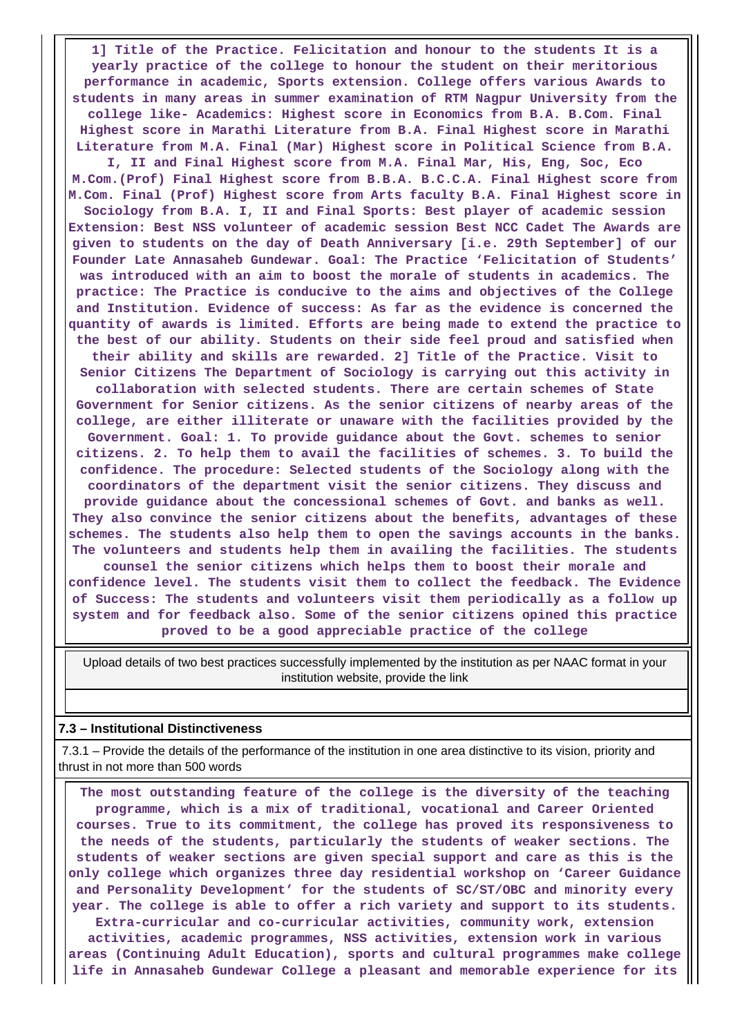**1] Title of the Practice. Felicitation and honour to the students It is a yearly practice of the college to honour the student on their meritorious performance in academic, Sports extension. College offers various Awards to students in many areas in summer examination of RTM Nagpur University from the college like- Academics: Highest score in Economics from B.A. B.Com. Final Highest score in Marathi Literature from B.A. Final Highest score in Marathi Literature from M.A. Final (Mar) Highest score in Political Science from B.A. I, II and Final Highest score from M.A. Final Mar, His, Eng, Soc, Eco M.Com.(Prof) Final Highest score from B.B.A. B.C.C.A. Final Highest score from M.Com. Final (Prof) Highest score from Arts faculty B.A. Final Highest score in Sociology from B.A. I, II and Final Sports: Best player of academic session Extension: Best NSS volunteer of academic session Best NCC Cadet The Awards are given to students on the day of Death Anniversary [i.e. 29th September] of our Founder Late Annasaheb Gundewar. Goal: The Practice 'Felicitation of Students' was introduced with an aim to boost the morale of students in academics. The practice: The Practice is conducive to the aims and objectives of the College and Institution. Evidence of success: As far as the evidence is concerned the quantity of awards is limited. Efforts are being made to extend the practice to the best of our ability. Students on their side feel proud and satisfied when their ability and skills are rewarded. 2] Title of the Practice. Visit to Senior Citizens The Department of Sociology is carrying out this activity in collaboration with selected students. There are certain schemes of State Government for Senior citizens. As the senior citizens of nearby areas of the college, are either illiterate or unaware with the facilities provided by the Government. Goal: 1. To provide guidance about the Govt. schemes to senior citizens. 2. To help them to avail the facilities of schemes. 3. To build the confidence. The procedure: Selected students of the Sociology along with the coordinators of the department visit the senior citizens. They discuss and provide guidance about the concessional schemes of Govt. and banks as well. They also convince the senior citizens about the benefits, advantages of these schemes. The students also help them to open the savings accounts in the banks. The volunteers and students help them in availing the facilities. The students counsel the senior citizens which helps them to boost their morale and confidence level. The students visit them to collect the feedback. The Evidence of Success: The students and volunteers visit them periodically as a follow up system and for feedback also. Some of the senior citizens opined this practice proved to be a good appreciable practice of the college**

 Upload details of two best practices successfully implemented by the institution as per NAAC format in your institution website, provide the link

#### **7.3 – Institutional Distinctiveness**

 7.3.1 – Provide the details of the performance of the institution in one area distinctive to its vision, priority and thrust in not more than 500 words

 **The most outstanding feature of the college is the diversity of the teaching programme, which is a mix of traditional, vocational and Career Oriented courses. True to its commitment, the college has proved its responsiveness to the needs of the students, particularly the students of weaker sections. The students of weaker sections are given special support and care as this is the only college which organizes three day residential workshop on 'Career Guidance and Personality Development' for the students of SC/ST/OBC and minority every year. The college is able to offer a rich variety and support to its students. Extra-curricular and co-curricular activities, community work, extension activities, academic programmes, NSS activities, extension work in various areas (Continuing Adult Education), sports and cultural programmes make college life in Annasaheb Gundewar College a pleasant and memorable experience for its**